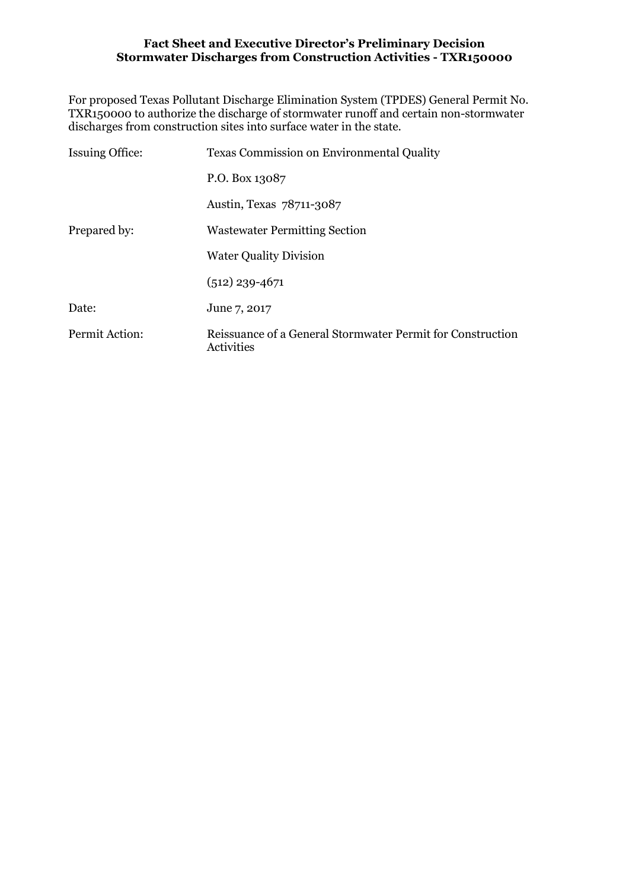For proposed Texas Pollutant Discharge Elimination System (TPDES) General Permit No. TXR150000 to authorize the discharge of stormwater runoff and certain non-stormwater discharges from construction sites into surface water in the state.

| <b>Issuing Office:</b> | <b>Texas Commission on Environmental Quality</b>                         |  |  |  |  |  |  |
|------------------------|--------------------------------------------------------------------------|--|--|--|--|--|--|
|                        | P.O. Box 13087                                                           |  |  |  |  |  |  |
|                        | Austin, Texas 78711-3087                                                 |  |  |  |  |  |  |
| Prepared by:           | <b>Wastewater Permitting Section</b>                                     |  |  |  |  |  |  |
|                        | <b>Water Quality Division</b>                                            |  |  |  |  |  |  |
|                        | $(512)$ 239-4671                                                         |  |  |  |  |  |  |
| Date:                  | June 7, 2017                                                             |  |  |  |  |  |  |
| Permit Action:         | Reissuance of a General Stormwater Permit for Construction<br>Activities |  |  |  |  |  |  |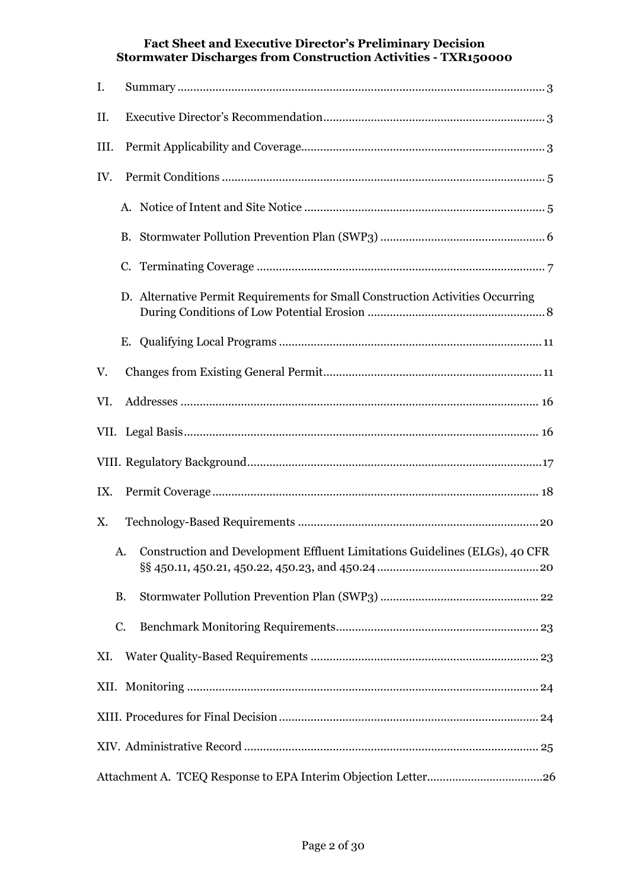| I.   |                                                                                |  |  |  |  |  |  |  |  |  |
|------|--------------------------------------------------------------------------------|--|--|--|--|--|--|--|--|--|
| II.  |                                                                                |  |  |  |  |  |  |  |  |  |
| III. |                                                                                |  |  |  |  |  |  |  |  |  |
| IV.  |                                                                                |  |  |  |  |  |  |  |  |  |
|      |                                                                                |  |  |  |  |  |  |  |  |  |
|      | <b>B.</b>                                                                      |  |  |  |  |  |  |  |  |  |
|      |                                                                                |  |  |  |  |  |  |  |  |  |
|      | D. Alternative Permit Requirements for Small Construction Activities Occurring |  |  |  |  |  |  |  |  |  |
|      |                                                                                |  |  |  |  |  |  |  |  |  |
| V.   |                                                                                |  |  |  |  |  |  |  |  |  |
| VI.  |                                                                                |  |  |  |  |  |  |  |  |  |
|      |                                                                                |  |  |  |  |  |  |  |  |  |
|      |                                                                                |  |  |  |  |  |  |  |  |  |
| IX.  |                                                                                |  |  |  |  |  |  |  |  |  |
| Χ.   |                                                                                |  |  |  |  |  |  |  |  |  |
|      | A. Construction and Development Effluent Limitations Guidelines (ELGs), 40 CFR |  |  |  |  |  |  |  |  |  |
|      | <b>B.</b>                                                                      |  |  |  |  |  |  |  |  |  |
|      | C.                                                                             |  |  |  |  |  |  |  |  |  |
| XI.  |                                                                                |  |  |  |  |  |  |  |  |  |
|      |                                                                                |  |  |  |  |  |  |  |  |  |
|      |                                                                                |  |  |  |  |  |  |  |  |  |
|      |                                                                                |  |  |  |  |  |  |  |  |  |
|      |                                                                                |  |  |  |  |  |  |  |  |  |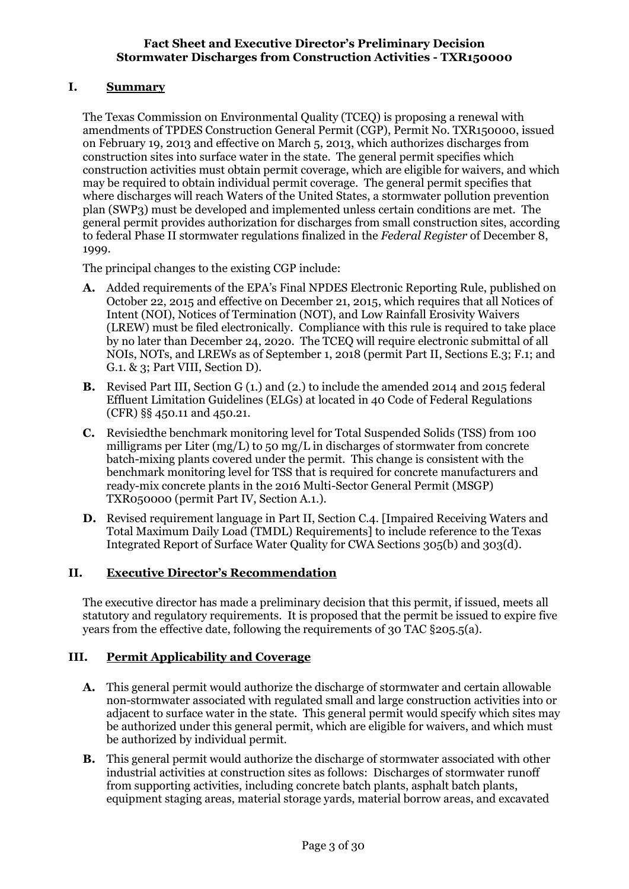## <span id="page-2-0"></span>**I. Summary**

The Texas Commission on Environmental Quality (TCEQ) is proposing a renewal with amendments of TPDES Construction General Permit (CGP), Permit No. TXR150000, issued on February 19, 2013 and effective on March 5, 2013, which authorizes discharges from construction sites into surface water in the state. The general permit specifies which construction activities must obtain permit coverage, which are eligible for waivers, and which may be required to obtain individual permit coverage. The general permit specifies that where discharges will reach Waters of the United States, a stormwater pollution prevention plan (SWP3) must be developed and implemented unless certain conditions are met. The general permit provides authorization for discharges from small construction sites, according to federal Phase II stormwater regulations finalized in the *Federal Register* of December 8, 1999.

The principal changes to the existing CGP include:

- **A.** Added requirements of the EPA's Final NPDES Electronic Reporting Rule, published on October 22, 2015 and effective on December 21, 2015, which requires that all Notices of Intent (NOI), Notices of Termination (NOT), and Low Rainfall Erosivity Waivers (LREW) must be filed electronically. Compliance with this rule is required to take place by no later than December 24, 2020. The TCEQ will require electronic submittal of all NOIs, NOTs, and LREWs as of September 1, 2018 (permit Part II, Sections E.3; F.1; and G.1. & 3; Part VIII, Section D).
- **B.** Revised Part III, Section G (1.) and (2.) to include the amended 2014 and 2015 federal Effluent Limitation Guidelines (ELGs) at located in 40 Code of Federal Regulations (CFR) §§ 450.11 and 450.21.
- **C.** Revisiedthe benchmark monitoring level for Total Suspended Solids (TSS) from 100 milligrams per Liter (mg/L) to 50 mg/L in discharges of stormwater from concrete batch-mixing plants covered under the permit. This change is consistent with the benchmark monitoring level for TSS that is required for concrete manufacturers and ready-mix concrete plants in the 2016 Multi-Sector General Permit (MSGP) TXR050000 (permit Part IV, Section A.1.).
- **D.** Revised requirement language in Part II, Section C.4. [Impaired Receiving Waters and Total Maximum Daily Load (TMDL) Requirements] to include reference to the Texas Integrated Report of Surface Water Quality for CWA Sections 305(b) and 303(d).

## <span id="page-2-1"></span>**II. Executive Director's Recommendation**

The executive director has made a preliminary decision that this permit, if issued, meets all statutory and regulatory requirements. It is proposed that the permit be issued to expire five years from the effective date, following the requirements of 30 TAC §205.5(a).

### <span id="page-2-2"></span>**III. Permit Applicability and Coverage**

- **A.** This general permit would authorize the discharge of stormwater and certain allowable non-stormwater associated with regulated small and large construction activities into or adjacent to surface water in the state. This general permit would specify which sites may be authorized under this general permit, which are eligible for waivers, and which must be authorized by individual permit.
- **B.** This general permit would authorize the discharge of stormwater associated with other industrial activities at construction sites as follows: Discharges of stormwater runoff from supporting activities, including concrete batch plants, asphalt batch plants, equipment staging areas, material storage yards, material borrow areas, and excavated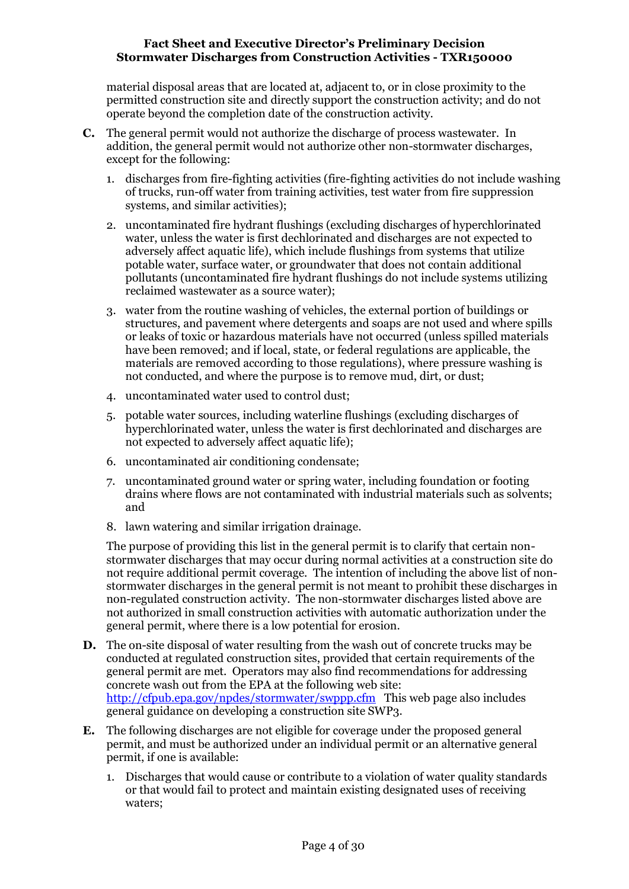material disposal areas that are located at, adjacent to, or in close proximity to the permitted construction site and directly support the construction activity; and do not operate beyond the completion date of the construction activity.

- **C.** The general permit would not authorize the discharge of process wastewater. In addition, the general permit would not authorize other non-stormwater discharges, except for the following:
	- 1. discharges from fire-fighting activities (fire-fighting activities do not include washing of trucks, run-off water from training activities, test water from fire suppression systems, and similar activities);
	- 2. uncontaminated fire hydrant flushings (excluding discharges of hyperchlorinated water, unless the water is first dechlorinated and discharges are not expected to adversely affect aquatic life), which include flushings from systems that utilize potable water, surface water, or groundwater that does not contain additional pollutants (uncontaminated fire hydrant flushings do not include systems utilizing reclaimed wastewater as a source water);
	- 3. water from the routine washing of vehicles, the external portion of buildings or structures, and pavement where detergents and soaps are not used and where spills or leaks of toxic or hazardous materials have not occurred (unless spilled materials have been removed; and if local, state, or federal regulations are applicable, the materials are removed according to those regulations), where pressure washing is not conducted, and where the purpose is to remove mud, dirt, or dust;
	- 4. uncontaminated water used to control dust;
	- 5. potable water sources, including waterline flushings (excluding discharges of hyperchlorinated water, unless the water is first dechlorinated and discharges are not expected to adversely affect aquatic life);
	- 6. uncontaminated air conditioning condensate;
	- 7. uncontaminated ground water or spring water, including foundation or footing drains where flows are not contaminated with industrial materials such as solvents; and
	- 8. lawn watering and similar irrigation drainage.

The purpose of providing this list in the general permit is to clarify that certain nonstormwater discharges that may occur during normal activities at a construction site do not require additional permit coverage. The intention of including the above list of nonstormwater discharges in the general permit is not meant to prohibit these discharges in non-regulated construction activity. The non-stormwater discharges listed above are not authorized in small construction activities with automatic authorization under the general permit, where there is a low potential for erosion.

- **D.** The on-site disposal of water resulting from the wash out of concrete trucks may be conducted at regulated construction sites, provided that certain requirements of the general permit are met. Operators may also find recommendations for addressing concrete wash out from the EPA at the following web site: <http://cfpub.epa.gov/npdes/stormwater/swppp.cfm> This web page also includes general guidance on developing a construction site SWP3.
- **E.** The following discharges are not eligible for coverage under the proposed general permit, and must be authorized under an individual permit or an alternative general permit, if one is available:
	- 1. Discharges that would cause or contribute to a violation of water quality standards or that would fail to protect and maintain existing designated uses of receiving waters;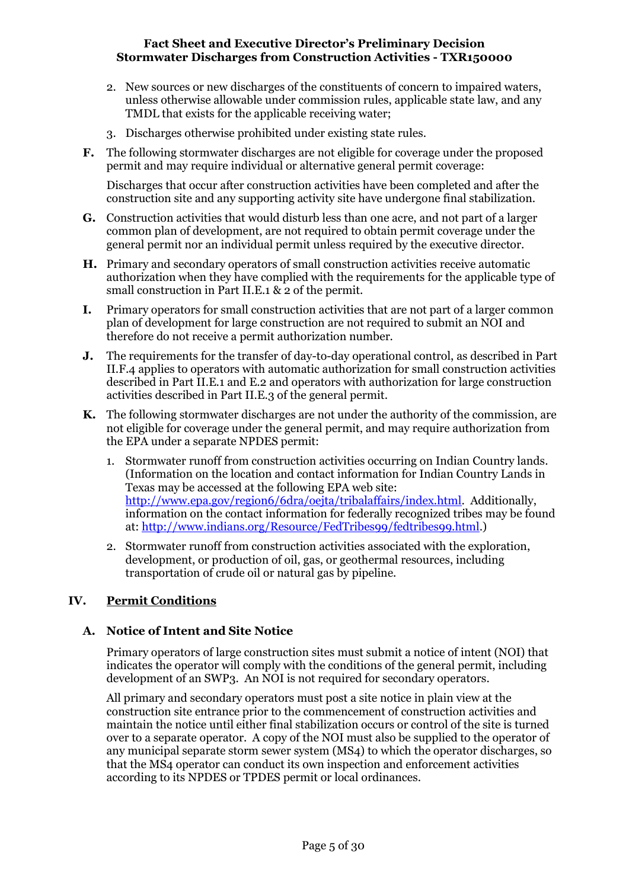- 2. New sources or new discharges of the constituents of concern to impaired waters, unless otherwise allowable under commission rules, applicable state law, and any TMDL that exists for the applicable receiving water;
- 3. Discharges otherwise prohibited under existing state rules.
- **F.** The following stormwater discharges are not eligible for coverage under the proposed permit and may require individual or alternative general permit coverage:

Discharges that occur after construction activities have been completed and after the construction site and any supporting activity site have undergone final stabilization.

- **G.** Construction activities that would disturb less than one acre, and not part of a larger common plan of development, are not required to obtain permit coverage under the general permit nor an individual permit unless required by the executive director.
- **H.** Primary and secondary operators of small construction activities receive automatic authorization when they have complied with the requirements for the applicable type of small construction in Part II.E.1 & 2 of the permit.
- **I.** Primary operators for small construction activities that are not part of a larger common plan of development for large construction are not required to submit an NOI and therefore do not receive a permit authorization number.
- **J.** The requirements for the transfer of day-to-day operational control, as described in Part II.F.4 applies to operators with automatic authorization for small construction activities described in Part II.E.1 and E.2 and operators with authorization for large construction activities described in Part II.E.3 of the general permit.
- **K.** The following stormwater discharges are not under the authority of the commission, are not eligible for coverage under the general permit, and may require authorization from the EPA under a separate NPDES permit:
	- 1. Stormwater runoff from construction activities occurring on Indian Country lands. (Information on the location and contact information for Indian Country Lands in Texas may be accessed at the following EPA web site: [http://www.epa.gov/region6/6dra/oejta/tribalaffairs/index.html.](http://www.epa.gov/region6/6dra/oejta/tribalaffairs/index.html) Additionally, information on the contact information for federally recognized tribes may be found at: [http://www.indians.org/Resource/FedTribes99/fedtribes99.html.](http://www.indians.org/Resource/FedTribes99/fedtribes99.html))
	- 2. Stormwater runoff from construction activities associated with the exploration, development, or production of oil, gas, or geothermal resources, including transportation of crude oil or natural gas by pipeline.

## <span id="page-4-0"></span>**IV. Permit Conditions**

### <span id="page-4-1"></span>**A. Notice of Intent and Site Notice**

Primary operators of large construction sites must submit a notice of intent (NOI) that indicates the operator will comply with the conditions of the general permit, including development of an SWP3. An NOI is not required for secondary operators.

All primary and secondary operators must post a site notice in plain view at the construction site entrance prior to the commencement of construction activities and maintain the notice until either final stabilization occurs or control of the site is turned over to a separate operator. A copy of the NOI must also be supplied to the operator of any municipal separate storm sewer system (MS4) to which the operator discharges, so that the MS4 operator can conduct its own inspection and enforcement activities according to its NPDES or TPDES permit or local ordinances.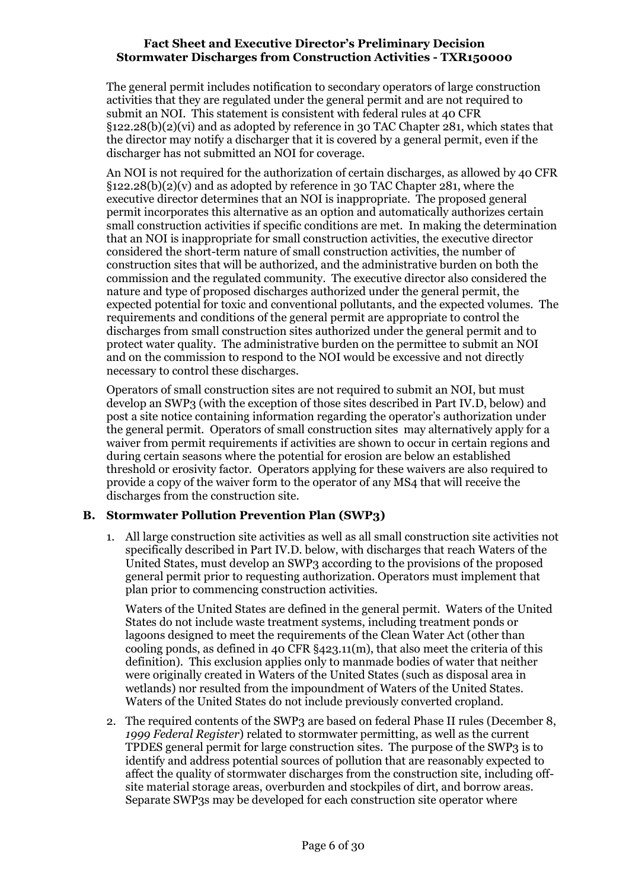The general permit includes notification to secondary operators of large construction activities that they are regulated under the general permit and are not required to submit an NOI. This statement is consistent with federal rules at 40 CFR §122.28(b)(2)(vi) and as adopted by reference in 30 TAC Chapter 281, which states that the director may notify a discharger that it is covered by a general permit, even if the discharger has not submitted an NOI for coverage.

An NOI is not required for the authorization of certain discharges, as allowed by 40 CFR  $\S$ 122.28(b)(2)(v) and as adopted by reference in 30 TAC Chapter 281, where the executive director determines that an NOI is inappropriate. The proposed general permit incorporates this alternative as an option and automatically authorizes certain small construction activities if specific conditions are met. In making the determination that an NOI is inappropriate for small construction activities, the executive director considered the short-term nature of small construction activities, the number of construction sites that will be authorized, and the administrative burden on both the commission and the regulated community. The executive director also considered the nature and type of proposed discharges authorized under the general permit, the expected potential for toxic and conventional pollutants, and the expected volumes. The requirements and conditions of the general permit are appropriate to control the discharges from small construction sites authorized under the general permit and to protect water quality. The administrative burden on the permittee to submit an NOI and on the commission to respond to the NOI would be excessive and not directly necessary to control these discharges.

Operators of small construction sites are not required to submit an NOI, but must develop an SWP3 (with the exception of those sites described in Part IV.D, below) and post a site notice containing information regarding the operator's authorization under the general permit. Operators of small construction sites may alternatively apply for a waiver from permit requirements if activities are shown to occur in certain regions and during certain seasons where the potential for erosion are below an established threshold or erosivity factor. Operators applying for these waivers are also required to provide a copy of the waiver form to the operator of any MS4 that will receive the discharges from the construction site.

### <span id="page-5-0"></span>**B. Stormwater Pollution Prevention Plan (SWP3)**

1. All large construction site activities as well as all small construction site activities not specifically described in Part IV.D. below, with discharges that reach Waters of the United States, must develop an SWP3 according to the provisions of the proposed general permit prior to requesting authorization. Operators must implement that plan prior to commencing construction activities.

Waters of the United States are defined in the general permit. Waters of the United States do not include waste treatment systems, including treatment ponds or lagoons designed to meet the requirements of the Clean Water Act (other than cooling ponds, as defined in 40 CFR §423.11(m), that also meet the criteria of this definition). This exclusion applies only to manmade bodies of water that neither were originally created in Waters of the United States (such as disposal area in wetlands) nor resulted from the impoundment of Waters of the United States. Waters of the United States do not include previously converted cropland.

2. The required contents of the SWP3 are based on federal Phase II rules (December 8, *1999 Federal Register*) related to stormwater permitting, as well as the current TPDES general permit for large construction sites. The purpose of the SWP3 is to identify and address potential sources of pollution that are reasonably expected to affect the quality of stormwater discharges from the construction site, including offsite material storage areas, overburden and stockpiles of dirt, and borrow areas. Separate SWP3s may be developed for each construction site operator where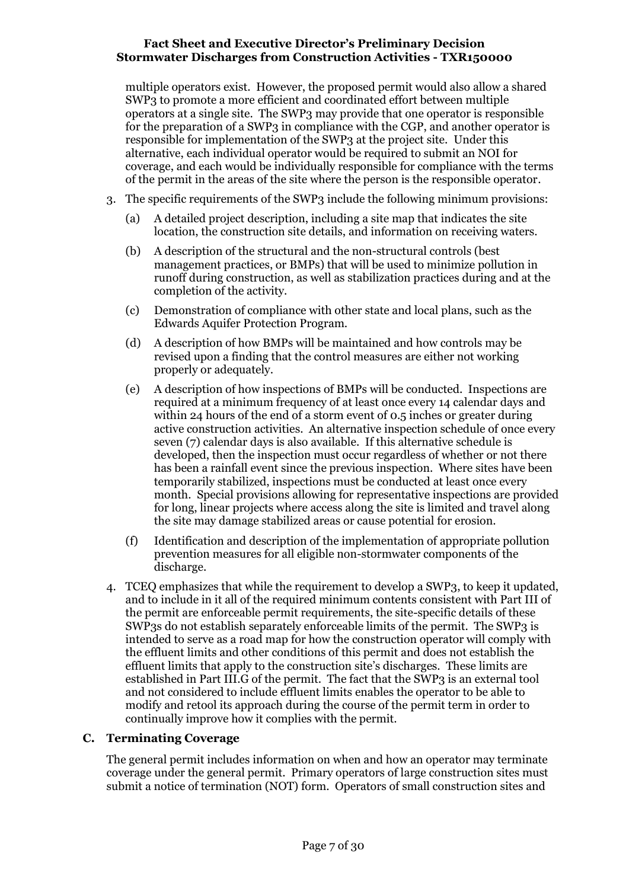multiple operators exist. However, the proposed permit would also allow a shared SWP3 to promote a more efficient and coordinated effort between multiple operators at a single site. The SWP3 may provide that one operator is responsible for the preparation of a SWP3 in compliance with the CGP, and another operator is responsible for implementation of the SWP3 at the project site. Under this alternative, each individual operator would be required to submit an NOI for coverage, and each would be individually responsible for compliance with the terms of the permit in the areas of the site where the person is the responsible operator.

- 3. The specific requirements of the SWP3 include the following minimum provisions:
	- (a) A detailed project description, including a site map that indicates the site location, the construction site details, and information on receiving waters.
	- (b) A description of the structural and the non-structural controls (best management practices, or BMPs) that will be used to minimize pollution in runoff during construction, as well as stabilization practices during and at the completion of the activity.
	- (c) Demonstration of compliance with other state and local plans, such as the Edwards Aquifer Protection Program.
	- (d) A description of how BMPs will be maintained and how controls may be revised upon a finding that the control measures are either not working properly or adequately.
	- (e) A description of how inspections of BMPs will be conducted. Inspections are required at a minimum frequency of at least once every 14 calendar days and within 24 hours of the end of a storm event of 0.5 inches or greater during active construction activities. An alternative inspection schedule of once every seven (7) calendar days is also available. If this alternative schedule is developed, then the inspection must occur regardless of whether or not there has been a rainfall event since the previous inspection. Where sites have been temporarily stabilized, inspections must be conducted at least once every month. Special provisions allowing for representative inspections are provided for long, linear projects where access along the site is limited and travel along the site may damage stabilized areas or cause potential for erosion.
	- (f) Identification and description of the implementation of appropriate pollution prevention measures for all eligible non-stormwater components of the discharge.
- 4. TCEQ emphasizes that while the requirement to develop a SWP3, to keep it updated, and to include in it all of the required minimum contents consistent with Part III of the permit are enforceable permit requirements, the site-specific details of these SWP3s do not establish separately enforceable limits of the permit. The SWP3 is intended to serve as a road map for how the construction operator will comply with the effluent limits and other conditions of this permit and does not establish the effluent limits that apply to the construction site's discharges. These limits are established in Part III.G of the permit. The fact that the SWP3 is an external tool and not considered to include effluent limits enables the operator to be able to modify and retool its approach during the course of the permit term in order to continually improve how it complies with the permit.

### <span id="page-6-0"></span>**C. Terminating Coverage**

The general permit includes information on when and how an operator may terminate coverage under the general permit. Primary operators of large construction sites must submit a notice of termination (NOT) form. Operators of small construction sites and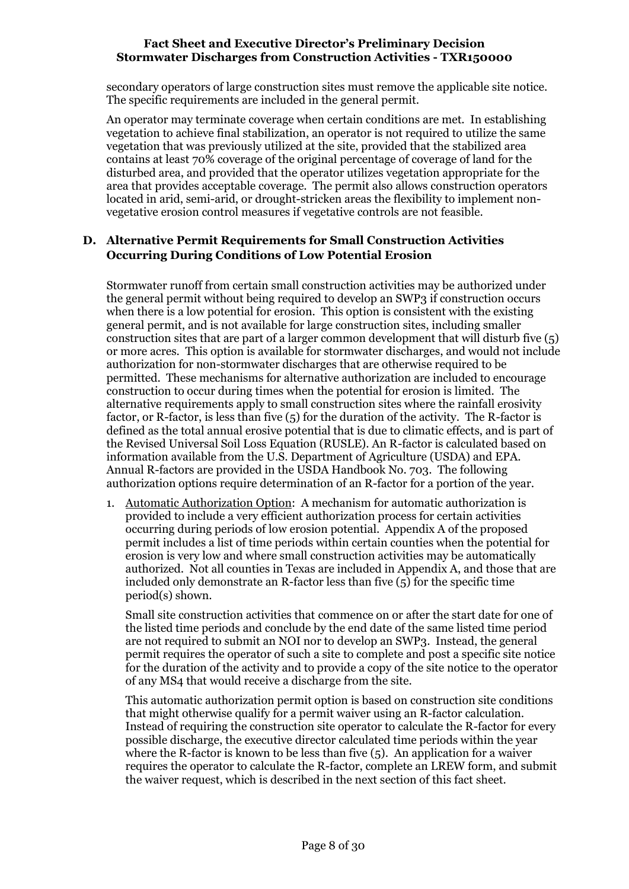secondary operators of large construction sites must remove the applicable site notice. The specific requirements are included in the general permit.

An operator may terminate coverage when certain conditions are met. In establishing vegetation to achieve final stabilization, an operator is not required to utilize the same vegetation that was previously utilized at the site, provided that the stabilized area contains at least 70% coverage of the original percentage of coverage of land for the disturbed area, and provided that the operator utilizes vegetation appropriate for the area that provides acceptable coverage. The permit also allows construction operators located in arid, semi-arid, or drought-stricken areas the flexibility to implement nonvegetative erosion control measures if vegetative controls are not feasible.

## <span id="page-7-0"></span>**D. Alternative Permit Requirements for Small Construction Activities Occurring During Conditions of Low Potential Erosion**

Stormwater runoff from certain small construction activities may be authorized under the general permit without being required to develop an SWP3 if construction occurs when there is a low potential for erosion. This option is consistent with the existing general permit, and is not available for large construction sites, including smaller construction sites that are part of a larger common development that will disturb five  $(5)$ or more acres. This option is available for stormwater discharges, and would not include authorization for non-stormwater discharges that are otherwise required to be permitted. These mechanisms for alternative authorization are included to encourage construction to occur during times when the potential for erosion is limited. The alternative requirements apply to small construction sites where the rainfall erosivity factor, or R-factor, is less than five (5) for the duration of the activity. The R-factor is defined as the total annual erosive potential that is due to climatic effects, and is part of the Revised Universal Soil Loss Equation (RUSLE). An R-factor is calculated based on information available from the U.S. Department of Agriculture (USDA) and EPA. Annual R-factors are provided in the USDA Handbook No. 703. The following authorization options require determination of an R-factor for a portion of the year.

1. Automatic Authorization Option: A mechanism for automatic authorization is provided to include a very efficient authorization process for certain activities occurring during periods of low erosion potential. Appendix A of the proposed permit includes a list of time periods within certain counties when the potential for erosion is very low and where small construction activities may be automatically authorized. Not all counties in Texas are included in Appendix A, and those that are included only demonstrate an R-factor less than five  $(5)$  for the specific time period(s) shown.

Small site construction activities that commence on or after the start date for one of the listed time periods and conclude by the end date of the same listed time period are not required to submit an NOI nor to develop an SWP3. Instead, the general permit requires the operator of such a site to complete and post a specific site notice for the duration of the activity and to provide a copy of the site notice to the operator of any MS4 that would receive a discharge from the site.

This automatic authorization permit option is based on construction site conditions that might otherwise qualify for a permit waiver using an R-factor calculation. Instead of requiring the construction site operator to calculate the R-factor for every possible discharge, the executive director calculated time periods within the year where the R-factor is known to be less than five  $(5)$ . An application for a waiver requires the operator to calculate the R-factor, complete an LREW form, and submit the waiver request, which is described in the next section of this fact sheet.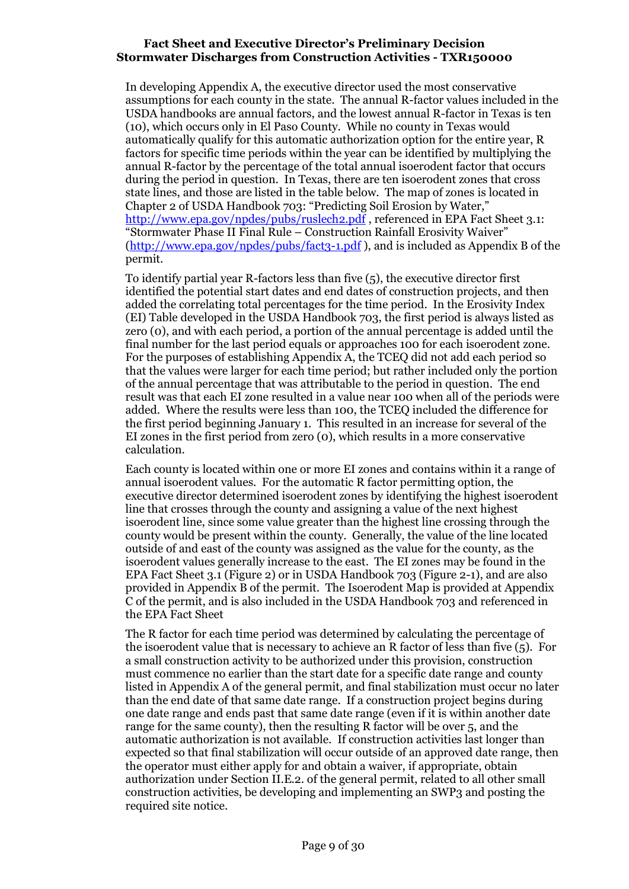In developing Appendix A, the executive director used the most conservative assumptions for each county in the state. The annual R-factor values included in the USDA handbooks are annual factors, and the lowest annual R-factor in Texas is ten (10), which occurs only in El Paso County. While no county in Texas would automatically qualify for this automatic authorization option for the entire year, R factors for specific time periods within the year can be identified by multiplying the annual R-factor by the percentage of the total annual isoerodent factor that occurs during the period in question. In Texas, there are ten isoerodent zones that cross state lines, and those are listed in the table below. The map of zones is located in Chapter 2 of USDA Handbook 703: "Predicting Soil Erosion by Water," <http://www.epa.gov/npdes/pubs/ruslech2.pdf>, referenced in EPA Fact Sheet 3.1: "Stormwater Phase II Final Rule – Construction Rainfall Erosivity Waiver" [\(http://www.epa.gov/npdes/pubs/fact3-1.pdf](http://www.epa.gov/npdes/pubs/fact3-1.pdf) ), and is included as Appendix B of the permit.

To identify partial year R-factors less than five (5), the executive director first identified the potential start dates and end dates of construction projects, and then added the correlating total percentages for the time period. In the Erosivity Index (EI) Table developed in the USDA Handbook 703, the first period is always listed as zero (0), and with each period, a portion of the annual percentage is added until the final number for the last period equals or approaches 100 for each isoerodent zone. For the purposes of establishing Appendix A, the TCEQ did not add each period so that the values were larger for each time period; but rather included only the portion of the annual percentage that was attributable to the period in question. The end result was that each EI zone resulted in a value near 100 when all of the periods were added. Where the results were less than 100, the TCEQ included the difference for the first period beginning January 1. This resulted in an increase for several of the EI zones in the first period from zero (0), which results in a more conservative calculation.

Each county is located within one or more EI zones and contains within it a range of annual isoerodent values. For the automatic R factor permitting option, the executive director determined isoerodent zones by identifying the highest isoerodent line that crosses through the county and assigning a value of the next highest isoerodent line, since some value greater than the highest line crossing through the county would be present within the county. Generally, the value of the line located outside of and east of the county was assigned as the value for the county, as the isoerodent values generally increase to the east. The EI zones may be found in the EPA Fact Sheet 3.1 (Figure 2) or in USDA Handbook 703 (Figure 2-1), and are also provided in Appendix B of the permit. The Isoerodent Map is provided at Appendix C of the permit, and is also included in the USDA Handbook 703 and referenced in the EPA Fact Sheet

The R factor for each time period was determined by calculating the percentage of the isoerodent value that is necessary to achieve an R factor of less than five (5). For a small construction activity to be authorized under this provision, construction must commence no earlier than the start date for a specific date range and county listed in Appendix A of the general permit, and final stabilization must occur no later than the end date of that same date range. If a construction project begins during one date range and ends past that same date range (even if it is within another date range for the same county), then the resulting R factor will be over 5, and the automatic authorization is not available. If construction activities last longer than expected so that final stabilization will occur outside of an approved date range, then the operator must either apply for and obtain a waiver, if appropriate, obtain authorization under Section II.E.2. of the general permit, related to all other small construction activities, be developing and implementing an SWP3 and posting the required site notice.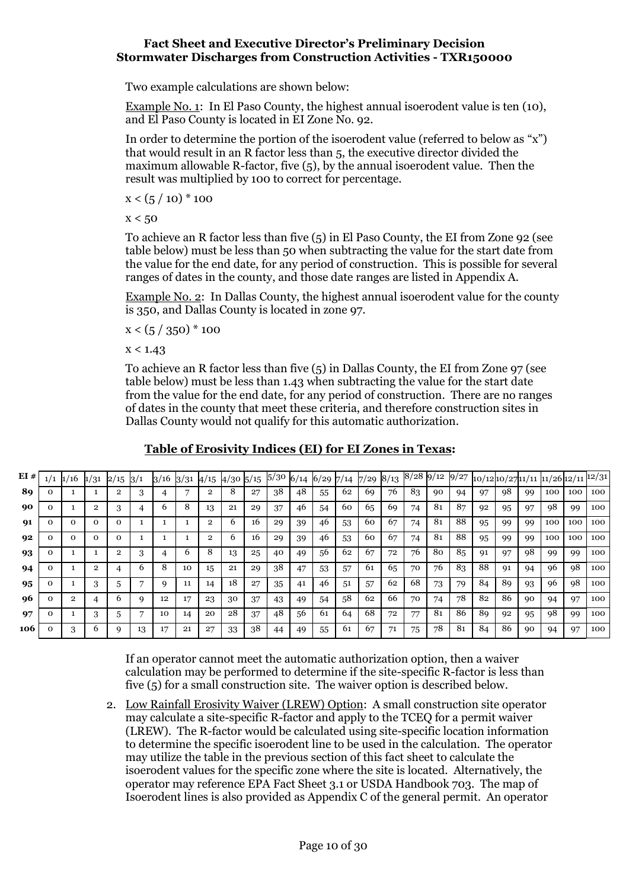Two example calculations are shown below:

Example No. 1: In El Paso County, the highest annual isoerodent value is ten (10), and El Paso County is located in EI Zone No. 92.

In order to determine the portion of the isoerodent value (referred to below as "x") that would result in an R factor less than 5, the executive director divided the maximum allowable R-factor, five  $(5)$ , by the annual isoerodent value. Then the result was multiplied by 100 to correct for percentage.

 $x < (5 / 10)^* 100$ 

 $x < 50$ 

To achieve an R factor less than five (5) in El Paso County, the EI from Zone 92 (see table below) must be less than 50 when subtracting the value for the start date from the value for the end date, for any period of construction. This is possible for several ranges of dates in the county, and those date ranges are listed in Appendix A.

Example No. 2: In Dallas County, the highest annual isoerodent value for the county is 350, and Dallas County is located in zone 97.

 $x < (5 / 350) * 100$ 

 $x < 1.43$ 

To achieve an R factor less than five (5) in Dallas County, the EI from Zone 97 (see table below) must be less than 1.43 when subtracting the value for the start date from the value for the end date, for any period of construction. There are no ranges of dates in the county that meet these criteria, and therefore construction sites in Dallas County would not qualify for this automatic authorization.

## **Table of Erosivity Indices (EI) for EI Zones in Texas:**

| EI# | 1/16     | 1/31 | 2/15     |    | 3/16 | 3/31 | 4/15 | $4/30\,5/15$ |    | 5/30 |    | $6/14$ 6/29 7/14 |    | 7/29 | 8/13 | 8/28 | 9/12 | 9/27 |    |    |    | 10/1210/2711/1111/2612/1112/31 |     |     |
|-----|----------|------|----------|----|------|------|------|--------------|----|------|----|------------------|----|------|------|------|------|------|----|----|----|--------------------------------|-----|-----|
| 89  |          |      | 2        |    |      |      |      | 8            | 27 | 38   | 48 | 55               | 62 | 69   | 76   | 83   | 90   | 94   | 97 | 98 | 99 | 100                            | 100 | 100 |
| 90  |          |      | 3        |    | b    | 8    | 13   | 21           | 29 | 37   | 46 | 54               | 60 | 65   | 69   | 74   | 81   | 87   | 92 | 95 | 97 | 98                             | 99  | 100 |
| 91  | $\Omega$ | 0    | $\Omega$ |    |      |      | 2    | 6            | 16 | 29   | 39 | 46               | 53 | 60   | 67   | 74   | 81   | 88   | 95 | 99 | 99 | 100                            | 100 | 100 |
| 92  |          |      |          |    |      |      | 2    | h            | 16 | 29   | 39 | 46               | 53 | 60   | 67   | 74   | 81   | 88   | 95 | 99 | 99 | 100                            | 100 | 100 |
| 93  |          |      | 2        | 3  |      | 6    | 8    | 13           | 25 | 40   | 49 | 56               | 62 | 67   | 72   | 76   | 80   | 85   | 91 | 97 | 98 | 99                             | 99  | 100 |
| 94  |          |      |          | h  | 8    | 10   | 15   | 21           | 29 | 38   | 47 | 53               | 57 | 61   | 65   | 70   | 76   | 83   | 88 | 91 | 94 | 96                             | 98  | 100 |
| 95  |          |      | 5        |    | Q    | 11   | 14   | 18           | 27 | 35   | 41 | 46               | 51 | 57   | 62   | 68   | 73   | 79   | 84 | 89 | 93 | 96                             | 98  | 100 |
| -96 |          |      | 6        |    | 12   | 17   | 23   | 30           | 37 | 43   | 49 | 54               | 58 | 62   | 66   | 70   | 74   | 78   | 82 | 86 | 90 | 94                             | 97  | 100 |
| 97  |          |      | 5        |    | 10   | 14   | 20   | 28           | 37 | 48   | 56 | 61               | 64 | 68   | 72   | 77   | 81   | 86   | 89 | 92 | 95 | 98                             | 99  | 100 |
| 106 |          |      |          | 13 |      | 21   | 27   | 33           | 38 | 44   | 49 | 55               | 61 | 67   | 71   | 75   | 78   | 81   | 84 | 86 | 90 | 94                             | 97  | 100 |

If an operator cannot meet the automatic authorization option, then a waiver calculation may be performed to determine if the site-specific R-factor is less than five (5) for a small construction site. The waiver option is described below.

2. Low Rainfall Erosivity Waiver (LREW) Option: A small construction site operator may calculate a site-specific R-factor and apply to the TCEQ for a permit waiver (LREW). The R-factor would be calculated using site-specific location information to determine the specific isoerodent line to be used in the calculation. The operator may utilize the table in the previous section of this fact sheet to calculate the isoerodent values for the specific zone where the site is located. Alternatively, the operator may reference EPA Fact Sheet 3.1 or USDA Handbook 703. The map of Isoerodent lines is also provided as Appendix C of the general permit. An operator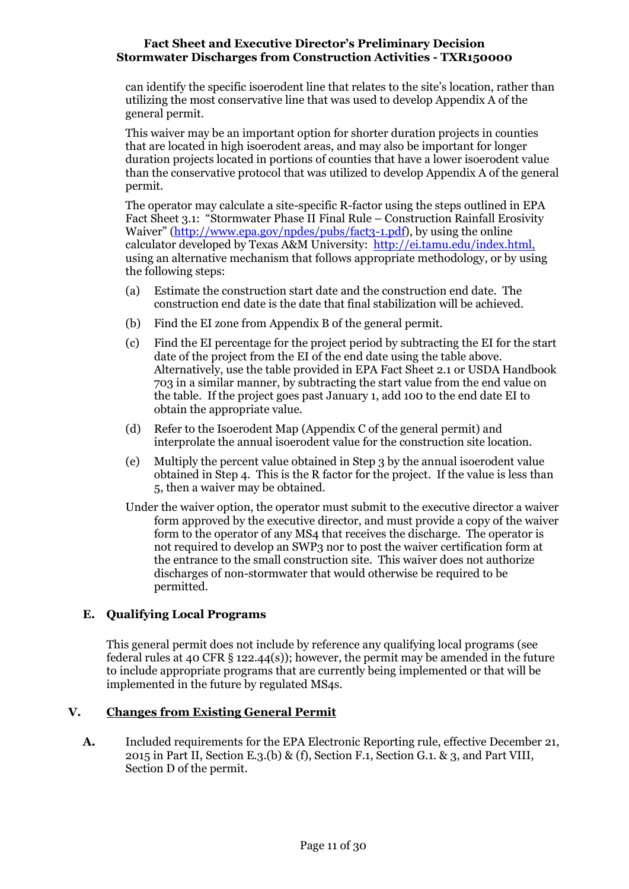can identify the specific isoerodent line that relates to the site's location, rather than utilizing the most conservative line that was used to develop Appendix A of the general permit.

This waiver may be an important option for shorter duration projects in counties that are located in high isoerodent areas, and may also be important for longer duration projects located in portions of counties that have a lower isoerodent value than the conservative protocol that was utilized to develop Appendix A of the general permit.

The operator may calculate a site-specific R-factor using the steps outlined in EPA Fact Sheet 3.1: "Stormwater Phase II Final Rule – Construction Rainfall Erosivity Waiver" ([http://www.epa.gov/npdes/pubs/fact3-1.pdf\)](http://www.epa.gov/npdes/pubs/fact3-1.pdf), by using the online calculator developed by Texas A&M University: [http://ei.tamu.edu/index.html,](http://ei.tamu.edu/index.html) using an alternative mechanism that follows appropriate methodology, or by using the following steps:

- (a) Estimate the construction start date and the construction end date. The construction end date is the date that final stabilization will be achieved.
- (b) Find the EI zone from Appendix B of the general permit.
- (c) Find the EI percentage for the project period by subtracting the EI for the start date of the project from the EI of the end date using the table above. Alternatively, use the table provided in EPA Fact Sheet 2.1 or USDA Handbook 703 in a similar manner, by subtracting the start value from the end value on the table. If the project goes past January 1, add 100 to the end date EI to obtain the appropriate value.
- (d) Refer to the Isoerodent Map (Appendix C of the general permit) and interprolate the annual isoerodent value for the construction site location.
- (e) Multiply the percent value obtained in Step 3 by the annual isoerodent value obtained in Step 4. This is the R factor for the project. If the value is less than 5, then a waiver may be obtained.
- Under the waiver option, the operator must submit to the executive director a waiver form approved by the executive director, and must provide a copy of the waiver form to the operator of any MS4 that receives the discharge. The operator is not required to develop an SWP3 nor to post the waiver certification form at the entrance to the small construction site. This waiver does not authorize discharges of non-stormwater that would otherwise be required to be permitted.

## <span id="page-10-0"></span>**E. Qualifying Local Programs**

This general permit does not include by reference any qualifying local programs (see federal rules at 40 CFR  $\S$  122.44(s)); however, the permit may be amended in the future to include appropriate programs that are currently being implemented or that will be implemented in the future by regulated MS4s.

## <span id="page-10-1"></span>**V. Changes from Existing General Permit**

**A.** Included requirements for the EPA Electronic Reporting rule, effective December 21, 2015 in Part II, Section E.3.(b) & (f), Section F.1, Section G.1. & 3, and Part VIII, Section D of the permit.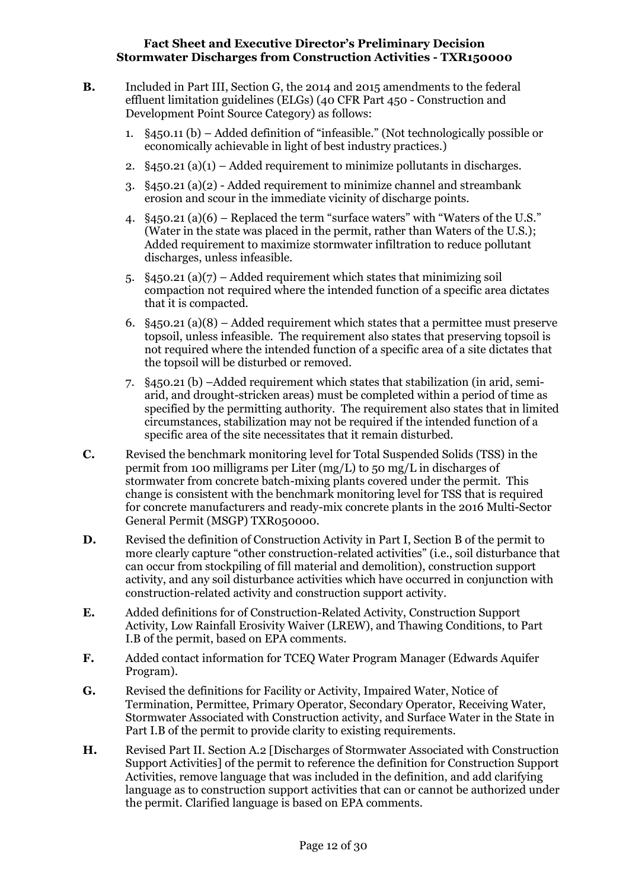- **B.** Included in Part III, Section G, the 2014 and 2015 amendments to the federal effluent limitation guidelines (ELGs) (40 CFR Part 450 - Construction and Development Point Source Category) as follows:
	- 1. §450.11 (b) Added definition of "infeasible." (Not technologically possible or economically achievable in light of best industry practices.)
	- 2.  $\S$ 450.21 (a)(1) Added requirement to minimize pollutants in discharges.
	- 3. §450.21 (a)(2) Added requirement to minimize channel and streambank erosion and scour in the immediate vicinity of discharge points.
	- 4. §450.21 (a)(6) Replaced the term "surface waters" with "Waters of the U.S." (Water in the state was placed in the permit, rather than Waters of the U.S.); Added requirement to maximize stormwater infiltration to reduce pollutant discharges, unless infeasible.
	- 5.  $§450.21$  (a)(7) Added requirement which states that minimizing soil compaction not required where the intended function of a specific area dictates that it is compacted.
	- 6.  $\S$ 450.21 (a)(8) Added requirement which states that a permittee must preserve topsoil, unless infeasible. The requirement also states that preserving topsoil is not required where the intended function of a specific area of a site dictates that the topsoil will be disturbed or removed.
	- 7. §450.21 (b) –Added requirement which states that stabilization (in arid, semiarid, and drought-stricken areas) must be completed within a period of time as specified by the permitting authority. The requirement also states that in limited circumstances, stabilization may not be required if the intended function of a specific area of the site necessitates that it remain disturbed.
- **C.** Revised the benchmark monitoring level for Total Suspended Solids (TSS) in the permit from 100 milligrams per Liter (mg/L) to 50 mg/L in discharges of stormwater from concrete batch-mixing plants covered under the permit. This change is consistent with the benchmark monitoring level for TSS that is required for concrete manufacturers and ready-mix concrete plants in the 2016 Multi-Sector General Permit (MSGP) TXR050000.
- **D.** Revised the definition of Construction Activity in Part I, Section B of the permit to more clearly capture "other construction-related activities" (i.e., soil disturbance that can occur from stockpiling of fill material and demolition), construction support activity, and any soil disturbance activities which have occurred in conjunction with construction-related activity and construction support activity.
- **E.** Added definitions for of Construction-Related Activity, Construction Support Activity, Low Rainfall Erosivity Waiver (LREW), and Thawing Conditions, to Part I.B of the permit, based on EPA comments.
- **F.** Added contact information for TCEQ Water Program Manager (Edwards Aquifer Program).
- **G.** Revised the definitions for Facility or Activity, Impaired Water, Notice of Termination, Permittee, Primary Operator, Secondary Operator, Receiving Water, Stormwater Associated with Construction activity, and Surface Water in the State in Part I.B of the permit to provide clarity to existing requirements.
- **H.** Revised Part II. Section A.2 [Discharges of Stormwater Associated with Construction Support Activities] of the permit to reference the definition for Construction Support Activities, remove language that was included in the definition, and add clarifying language as to construction support activities that can or cannot be authorized under the permit. Clarified language is based on EPA comments.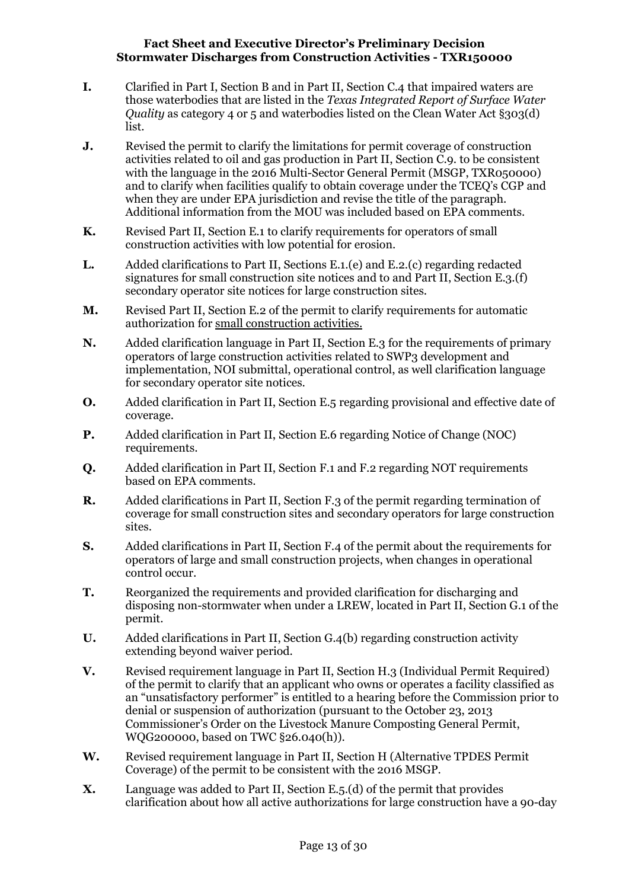- **I.** Clarified in Part I, Section B and in Part II, Section C.4 that impaired waters are those waterbodies that are listed in the *Texas Integrated Report of Surface Water Quality* as category 4 or 5 and waterbodies listed on the Clean Water Act §303(d) list.
- **J.** Revised the permit to clarify the limitations for permit coverage of construction activities related to oil and gas production in Part II, Section C.9. to be consistent with the language in the 2016 Multi-Sector General Permit (MSGP, TXR050000) and to clarify when facilities qualify to obtain coverage under the TCEQ's CGP and when they are under EPA jurisdiction and revise the title of the paragraph. Additional information from the MOU was included based on EPA comments.
- **K.** Revised Part II, Section E.1 to clarify requirements for operators of small construction activities with low potential for erosion.
- **L.** Added clarifications to Part II, Sections E.1.(e) and E.2.(c) regarding redacted signatures for small construction site notices and to and Part II, Section E.3.(f) secondary operator site notices for large construction sites.
- **M.** Revised Part II, Section E.2 of the permit to clarify requirements for automatic authorization for small construction activities.
- **N.** Added clarification language in Part II, Section E.3 for the requirements of primary operators of large construction activities related to SWP3 development and implementation, NOI submittal, operational control, as well clarification language for secondary operator site notices.
- **O.** Added clarification in Part II, Section E.5 regarding provisional and effective date of coverage.
- **P.** Added clarification in Part II, Section E.6 regarding Notice of Change (NOC) requirements.
- **Q.** Added clarification in Part II, Section F.1 and F.2 regarding NOT requirements based on EPA comments.
- **R.** Added clarifications in Part II, Section F.3 of the permit regarding termination of coverage for small construction sites and secondary operators for large construction sites.
- **S.** Added clarifications in Part II, Section F.4 of the permit about the requirements for operators of large and small construction projects, when changes in operational control occur.
- **T.** Reorganized the requirements and provided clarification for discharging and disposing non-stormwater when under a LREW, located in Part II, Section G.1 of the permit.
- **U.** Added clarifications in Part II, Section G.4(b) regarding construction activity extending beyond waiver period.
- **V.** Revised requirement language in Part II, Section H.3 (Individual Permit Required) of the permit to clarify that an applicant who owns or operates a facility classified as an "unsatisfactory performer" is entitled to a hearing before the Commission prior to denial or suspension of authorization (pursuant to the October 23, 2013 Commissioner's Order on the Livestock Manure Composting General Permit, WQG200000, based on TWC §26.040(h)).
- **W.** Revised requirement language in Part II, Section H (Alternative TPDES Permit Coverage) of the permit to be consistent with the 2016 MSGP.
- **X.** Language was added to Part II, Section E.5.(d) of the permit that provides clarification about how all active authorizations for large construction have a 90-day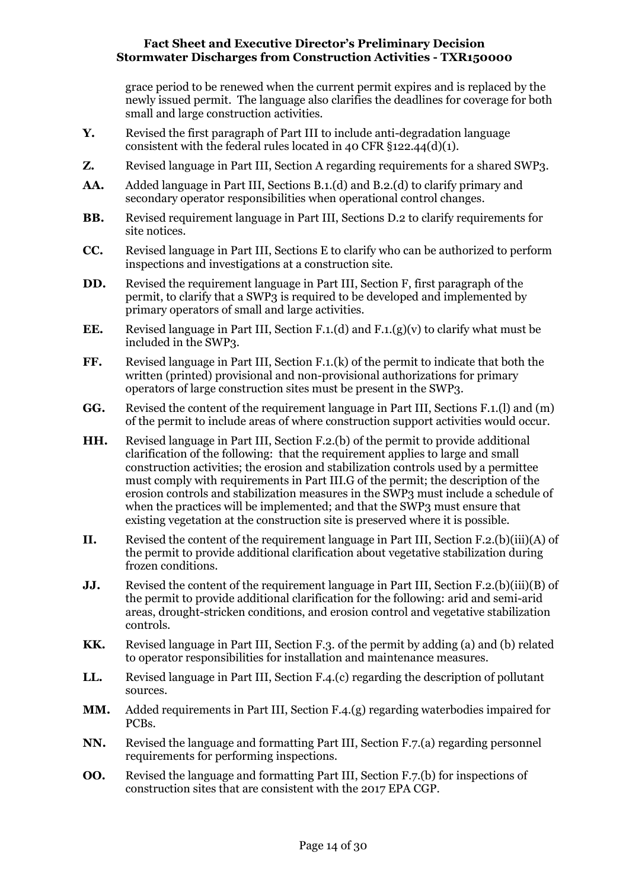grace period to be renewed when the current permit expires and is replaced by the newly issued permit. The language also clarifies the deadlines for coverage for both small and large construction activities.

- **Y.** Revised the first paragraph of Part III to include anti-degradation language consistent with the federal rules located in 40 CFR  $\S$ 122.44(d)(1).
- **Z.** Revised language in Part III, Section A regarding requirements for a shared SWP3.
- **AA.** Added language in Part III, Sections B.1.(d) and B.2.(d) to clarify primary and secondary operator responsibilities when operational control changes.
- **BB.** Revised requirement language in Part III, Sections D.2 to clarify requirements for site notices.
- **CC.** Revised language in Part III, Sections E to clarify who can be authorized to perform inspections and investigations at a construction site.
- **DD.** Revised the requirement language in Part III, Section F, first paragraph of the permit, to clarify that a SWP3 is required to be developed and implemented by primary operators of small and large activities.
- **EE.** Revised language in Part III, Section F.1.(d) and F.1.(g)(v) to clarify what must be included in the SWP3.
- **FF.** Revised language in Part III, Section F.1.(k) of the permit to indicate that both the written (printed) provisional and non-provisional authorizations for primary operators of large construction sites must be present in the SWP3.
- **GG.** Revised the content of the requirement language in Part III, Sections F.1.(l) and (m) of the permit to include areas of where construction support activities would occur.
- **HH.** Revised language in Part III, Section F.2.(b) of the permit to provide additional clarification of the following: that the requirement applies to large and small construction activities; the erosion and stabilization controls used by a permittee must comply with requirements in Part III.G of the permit; the description of the erosion controls and stabilization measures in the SWP3 must include a schedule of when the practices will be implemented; and that the SWP3 must ensure that existing vegetation at the construction site is preserved where it is possible.
- **II.** Revised the content of the requirement language in Part III, Section F.2.(b)(iii)(A) of the permit to provide additional clarification about vegetative stabilization during frozen conditions.
- **JJ.** Revised the content of the requirement language in Part III, Section F.2.(b)(iii)(B) of the permit to provide additional clarification for the following: arid and semi-arid areas, drought-stricken conditions, and erosion control and vegetative stabilization controls.
- **KK.** Revised language in Part III, Section F.3. of the permit by adding (a) and (b) related to operator responsibilities for installation and maintenance measures.
- **LL.** Revised language in Part III, Section F.4.(c) regarding the description of pollutant sources.
- **MM.** Added requirements in Part III, Section F.4.(g) regarding waterbodies impaired for PCBs.
- **NN.** Revised the language and formatting Part III, Section F.7.(a) regarding personnel requirements for performing inspections.
- **OO.** Revised the language and formatting Part III, Section F.7.(b) for inspections of construction sites that are consistent with the 2017 EPA CGP.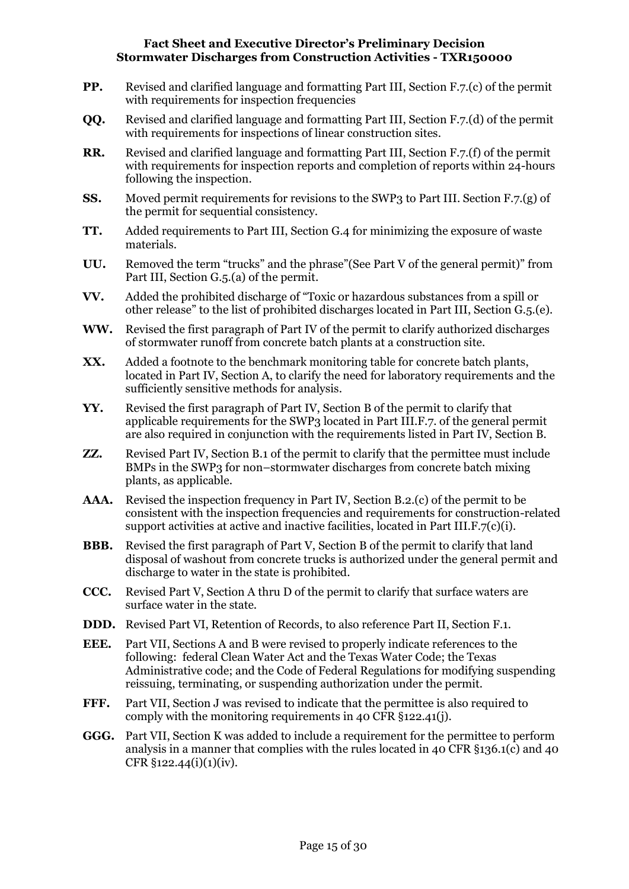- **PP.** Revised and clarified language and formatting Part III, Section F.7.(c) of the permit with requirements for inspection frequencies
- **QQ.** Revised and clarified language and formatting Part III, Section F.7.(d) of the permit with requirements for inspections of linear construction sites.
- **RR.** Revised and clarified language and formatting Part III, Section F.7.(f) of the permit with requirements for inspection reports and completion of reports within 24-hours following the inspection.
- **SS.** Moved permit requirements for revisions to the SWP3 to Part III. Section F.7.(g) of the permit for sequential consistency.
- **TT.** Added requirements to Part III, Section G.4 for minimizing the exposure of waste materials.
- **UU.** Removed the term "trucks" and the phrase"(See Part V of the general permit)" from Part III, Section G.5.(a) of the permit.
- **VV.** Added the prohibited discharge of "Toxic or hazardous substances from a spill or other release" to the list of prohibited discharges located in Part III, Section G.5.(e).
- **WW.** Revised the first paragraph of Part IV of the permit to clarify authorized discharges of stormwater runoff from concrete batch plants at a construction site.
- **XX.** Added a footnote to the benchmark monitoring table for concrete batch plants, located in Part IV, Section A, to clarify the need for laboratory requirements and the sufficiently sensitive methods for analysis.
- **YY.** Revised the first paragraph of Part IV, Section B of the permit to clarify that applicable requirements for the SWP3 located in Part III.F.7. of the general permit are also required in conjunction with the requirements listed in Part IV, Section B.
- **ZZ.** Revised Part IV, Section B.1 of the permit to clarify that the permittee must include BMPs in the SWP3 for non–stormwater discharges from concrete batch mixing plants, as applicable.
- **AAA.** Revised the inspection frequency in Part IV, Section B.2.(c) of the permit to be consistent with the inspection frequencies and requirements for construction-related support activities at active and inactive facilities, located in Part III.F.7(c)(i).
- **BBB.** Revised the first paragraph of Part V, Section B of the permit to clarify that land disposal of washout from concrete trucks is authorized under the general permit and discharge to water in the state is prohibited.
- **CCC.** Revised Part V, Section A thru D of the permit to clarify that surface waters are surface water in the state.
- **DDD.** Revised Part VI, Retention of Records, to also reference Part II, Section F.1.
- **EEE.** Part VII, Sections A and B were revised to properly indicate references to the following: federal Clean Water Act and the Texas Water Code; the Texas Administrative code; and the Code of Federal Regulations for modifying suspending reissuing, terminating, or suspending authorization under the permit.
- **FFF.** Part VII, Section J was revised to indicate that the permittee is also required to comply with the monitoring requirements in 40 CFR §122.41(j).
- **GGG.** Part VII, Section K was added to include a requirement for the permittee to perform analysis in a manner that complies with the rules located in 40 CFR §136.1(c) and 40 CFR §122.44(i)(1)(iv).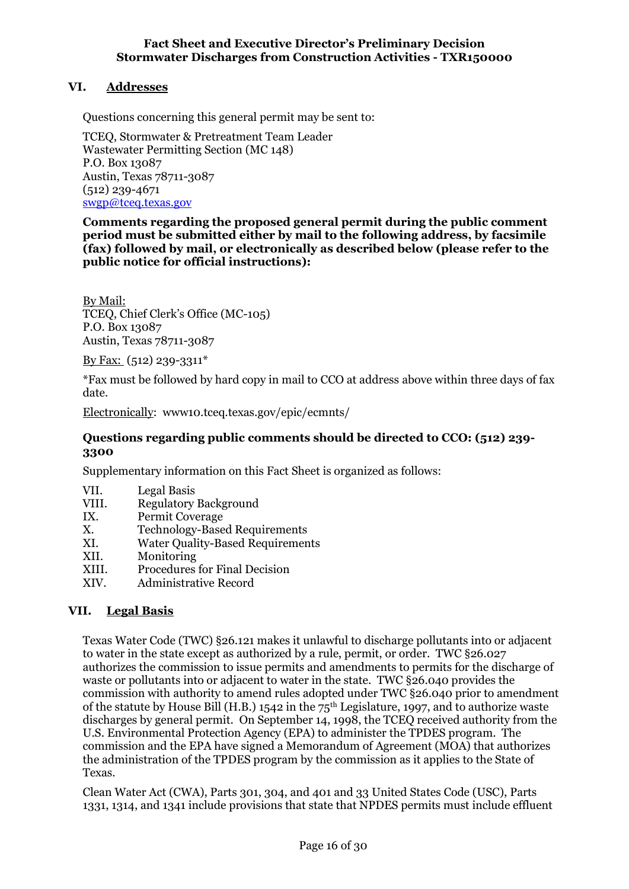## <span id="page-15-0"></span>**VI. Addresses**

Questions concerning this general permit may be sent to:

TCEQ, Stormwater & Pretreatment Team Leader Wastewater Permitting Section (MC 148) P.O. Box 13087 Austin, Texas 78711-3087 (512) 239-4671 [swgp@tceq.texas.gov](mailto:swgp@tceq.texas.gov)

**Comments regarding the proposed general permit during the public comment period must be submitted either by mail to the following address, by facsimile (fax) followed by mail, or electronically as described below (please refer to the public notice for official instructions):**

By Mail: TCEQ, Chief Clerk's Office (MC-105) P.O. Box 13087 Austin, Texas 78711-3087

By Fax: (512) 239-3311\*

\*Fax must be followed by hard copy in mail to CCO at address above within three days of fax date.

Electronically: www10.tceq.texas.gov/epic/ecmnts/

### **Questions regarding public comments should be directed to CCO: (512) 239- 3300**

Supplementary information on this Fact Sheet is organized as follows:

- VII. Legal Basis
- VIII. Regulatory Background
- IX. Permit Coverage
- X. Technology-Based Requirements
- XI. Water Quality-Based Requirements
- XII. Monitoring
- XIII. Procedures for Final Decision
- XIV. Administrative Record

### <span id="page-15-1"></span>**VII. Legal Basis**

Texas Water Code (TWC) §26.121 makes it unlawful to discharge pollutants into or adjacent to water in the state except as authorized by a rule, permit, or order. TWC §26.027 authorizes the commission to issue permits and amendments to permits for the discharge of waste or pollutants into or adjacent to water in the state. TWC §26.040 provides the commission with authority to amend rules adopted under TWC §26.040 prior to amendment of the statute by House Bill (H.B.) 1542 in the  $75<sup>th</sup>$  Legislature, 1997, and to authorize waste discharges by general permit. On September 14, 1998, the TCEQ received authority from the U.S. Environmental Protection Agency (EPA) to administer the TPDES program. The commission and the EPA have signed a Memorandum of Agreement (MOA) that authorizes the administration of the TPDES program by the commission as it applies to the State of Texas.

Clean Water Act (CWA), Parts 301, 304, and 401 and 33 United States Code (USC), Parts 1331, 1314, and 1341 include provisions that state that NPDES permits must include effluent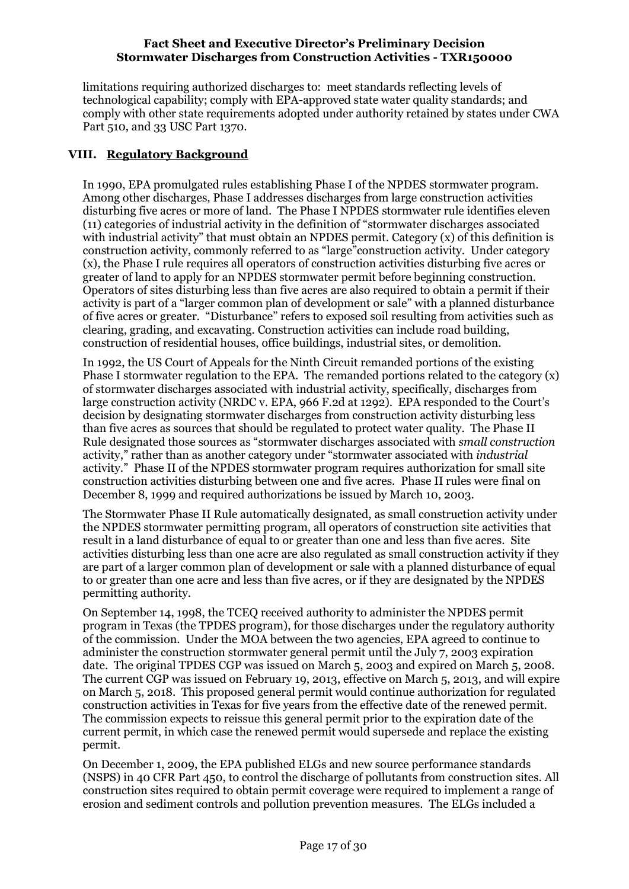limitations requiring authorized discharges to: meet standards reflecting levels of technological capability; comply with EPA-approved state water quality standards; and comply with other state requirements adopted under authority retained by states under CWA Part 510, and 33 USC Part 1370.

## <span id="page-16-0"></span>**VIII. Regulatory Background**

In 1990, EPA promulgated rules establishing Phase I of the NPDES stormwater program. Among other discharges, Phase I addresses discharges from large construction activities disturbing five acres or more of land. The Phase I NPDES stormwater rule identifies eleven (11) categories of industrial activity in the definition of "stormwater discharges associated with industrial activity" that must obtain an NPDES permit. Category  $(x)$  of this definition is construction activity, commonly referred to as "large"construction activity. Under category (x), the Phase I rule requires all operators of construction activities disturbing five acres or greater of land to apply for an NPDES stormwater permit before beginning construction. Operators of sites disturbing less than five acres are also required to obtain a permit if their activity is part of a "larger common plan of development or sale" with a planned disturbance of five acres or greater. "Disturbance" refers to exposed soil resulting from activities such as clearing, grading, and excavating. Construction activities can include road building, construction of residential houses, office buildings, industrial sites, or demolition.

In 1992, the US Court of Appeals for the Ninth Circuit remanded portions of the existing Phase I stormwater regulation to the EPA. The remanded portions related to the category  $(x)$ of stormwater discharges associated with industrial activity, specifically, discharges from large construction activity (NRDC v. EPA, 966 F.2d at 1292). EPA responded to the Court's decision by designating stormwater discharges from construction activity disturbing less than five acres as sources that should be regulated to protect water quality. The Phase II Rule designated those sources as "stormwater discharges associated with *small construction*  activity," rather than as another category under "stormwater associated with *industrial*  activity." Phase II of the NPDES stormwater program requires authorization for small site construction activities disturbing between one and five acres. Phase II rules were final on December 8, 1999 and required authorizations be issued by March 10, 2003.

The Stormwater Phase II Rule automatically designated, as small construction activity under the NPDES stormwater permitting program, all operators of construction site activities that result in a land disturbance of equal to or greater than one and less than five acres. Site activities disturbing less than one acre are also regulated as small construction activity if they are part of a larger common plan of development or sale with a planned disturbance of equal to or greater than one acre and less than five acres, or if they are designated by the NPDES permitting authority.

On September 14, 1998, the TCEQ received authority to administer the NPDES permit program in Texas (the TPDES program), for those discharges under the regulatory authority of the commission. Under the MOA between the two agencies, EPA agreed to continue to administer the construction stormwater general permit until the July 7, 2003 expiration date. The original TPDES CGP was issued on March 5, 2003 and expired on March 5, 2008. The current CGP was issued on February 19, 2013, effective on March 5, 2013, and will expire on March 5, 2018. This proposed general permit would continue authorization for regulated construction activities in Texas for five years from the effective date of the renewed permit. The commission expects to reissue this general permit prior to the expiration date of the current permit, in which case the renewed permit would supersede and replace the existing permit.

On December 1, 2009, the EPA published ELGs and new source performance standards (NSPS) in 40 CFR Part 450, to control the discharge of pollutants from construction sites. All construction sites required to obtain permit coverage were required to implement a range of erosion and sediment controls and pollution prevention measures. The ELGs included a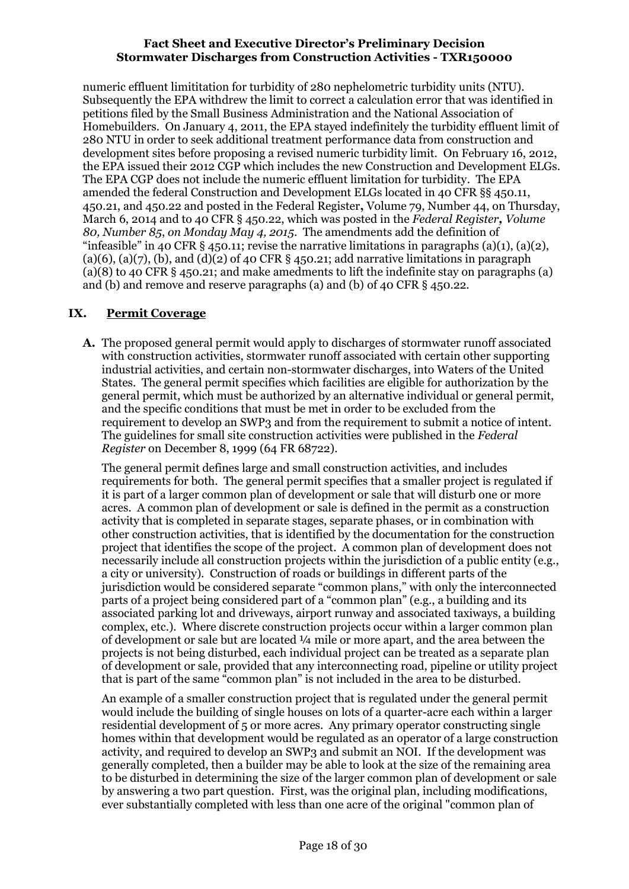numeric effluent limititation for turbidity of 280 nephelometric turbidity units (NTU). Subsequently the EPA withdrew the limit to correct a calculation error that was identified in petitions filed by the Small Business Administration and the National Association of Homebuilders. On January 4, 2011, the EPA stayed indefinitely the turbidity effluent limit of 280 NTU in order to seek additional treatment performance data from construction and development sites before proposing a revised numeric turbidity limit. On February 16, 2012, the EPA issued their 2012 CGP which includes the new Construction and Development ELGs. The EPA CGP does not include the numeric effluent limitation for turbidity. The EPA amended the federal Construction and Development ELGs located in 40 CFR §§ 450.11, 450.21, and 450.22 and posted in the Federal Register**,** Volume 79, Number 44, on Thursday, March 6, 2014 and to 40 CFR § 450.22, which was posted in the *Federal Register, Volume 80, Number 85*, *on Monday May 4, 2015*. The amendments add the definition of "infeasible" in 40 CFR  $\S$  450.11; revise the narrative limitations in paragraphs (a)(1), (a)(2), (a)(6), (a)(7), (b), and (d)(2) of 40 CFR  $\S$  450.21; add narrative limitations in paragraph (a)(8) to 40 CFR § 450.21; and make amedments to lift the indefinite stay on paragraphs (a) and (b) and remove and reserve paragraphs (a) and (b) of 40 CFR § 450.22.

## <span id="page-17-0"></span>**IX. Permit Coverage**

**A.** The proposed general permit would apply to discharges of stormwater runoff associated with construction activities, stormwater runoff associated with certain other supporting industrial activities, and certain non-stormwater discharges, into Waters of the United States. The general permit specifies which facilities are eligible for authorization by the general permit, which must be authorized by an alternative individual or general permit, and the specific conditions that must be met in order to be excluded from the requirement to develop an SWP3 and from the requirement to submit a notice of intent. The guidelines for small site construction activities were published in the *Federal Register* on December 8, 1999 (64 FR 68722).

The general permit defines large and small construction activities, and includes requirements for both. The general permit specifies that a smaller project is regulated if it is part of a larger common plan of development or sale that will disturb one or more acres. A common plan of development or sale is defined in the permit as a construction activity that is completed in separate stages, separate phases, or in combination with other construction activities, that is identified by the documentation for the construction project that identifies the scope of the project. A common plan of development does not necessarily include all construction projects within the jurisdiction of a public entity (e.g., a city or university). Construction of roads or buildings in different parts of the jurisdiction would be considered separate "common plans," with only the interconnected parts of a project being considered part of a "common plan" (e.g., a building and its associated parking lot and driveways, airport runway and associated taxiways, a building complex, etc.). Where discrete construction projects occur within a larger common plan of development or sale but are located ¼ mile or more apart, and the area between the projects is not being disturbed, each individual project can be treated as a separate plan of development or sale, provided that any interconnecting road, pipeline or utility project that is part of the same "common plan" is not included in the area to be disturbed.

An example of a smaller construction project that is regulated under the general permit would include the building of single houses on lots of a quarter-acre each within a larger residential development of 5 or more acres. Any primary operator constructing single homes within that development would be regulated as an operator of a large construction activity, and required to develop an SWP3 and submit an NOI. If the development was generally completed, then a builder may be able to look at the size of the remaining area to be disturbed in determining the size of the larger common plan of development or sale by answering a two part question. First, was the original plan, including modifications, ever substantially completed with less than one acre of the original "common plan of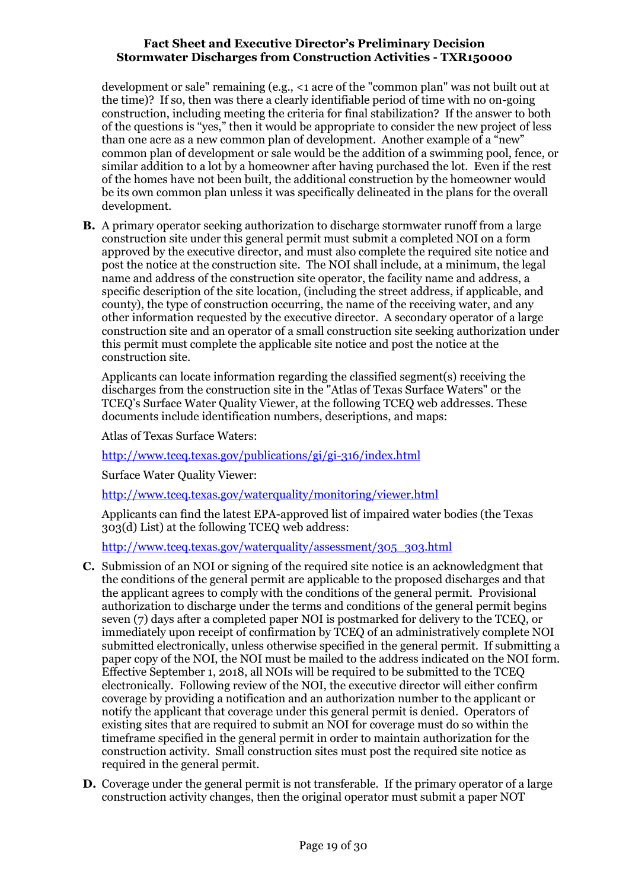development or sale" remaining (e.g., <1 acre of the "common plan" was not built out at the time)? If so, then was there a clearly identifiable period of time with no on-going construction, including meeting the criteria for final stabilization? If the answer to both of the questions is "yes," then it would be appropriate to consider the new project of less than one acre as a new common plan of development. Another example of a "new" common plan of development or sale would be the addition of a swimming pool, fence, or similar addition to a lot by a homeowner after having purchased the lot. Even if the rest of the homes have not been built, the additional construction by the homeowner would be its own common plan unless it was specifically delineated in the plans for the overall development.

**B.** A primary operator seeking authorization to discharge stormwater runoff from a large construction site under this general permit must submit a completed NOI on a form approved by the executive director, and must also complete the required site notice and post the notice at the construction site. The NOI shall include, at a minimum, the legal name and address of the construction site operator, the facility name and address, a specific description of the site location, (including the street address, if applicable, and county), the type of construction occurring, the name of the receiving water, and any other information requested by the executive director. A secondary operator of a large construction site and an operator of a small construction site seeking authorization under this permit must complete the applicable site notice and post the notice at the construction site.

Applicants can locate information regarding the classified segment(s) receiving the discharges from the construction site in the "Atlas of Texas Surface Waters" or the TCEQ's Surface Water Quality Viewer, at the following TCEQ web addresses. These documents include identification numbers, descriptions, and maps:

Atlas of Texas Surface Waters:

<http://www.tceq.texas.gov/publications/gi/gi-316/index.html>

Surface Water Quality Viewer:

<http://www.tceq.texas.gov/waterquality/monitoring/viewer.html>

Applicants can find the latest EPA-approved list of impaired water bodies (the Texas 303(d) List) at the following TCEQ web address:

[http://www.tceq.texas.gov/waterquality/assessment/305\\_303.html](http://www.tceq.texas.gov/waterquality/assessment/305_303.html)

- **C.** Submission of an NOI or signing of the required site notice is an acknowledgment that the conditions of the general permit are applicable to the proposed discharges and that the applicant agrees to comply with the conditions of the general permit. Provisional authorization to discharge under the terms and conditions of the general permit begins seven (7) days after a completed paper NOI is postmarked for delivery to the TCEQ, or immediately upon receipt of confirmation by TCEQ of an administratively complete NOI submitted electronically, unless otherwise specified in the general permit. If submitting a paper copy of the NOI, the NOI must be mailed to the address indicated on the NOI form. Effective September 1, 2018, all NOIs will be required to be submitted to the TCEQ electronically. Following review of the NOI, the executive director will either confirm coverage by providing a notification and an authorization number to the applicant or notify the applicant that coverage under this general permit is denied. Operators of existing sites that are required to submit an NOI for coverage must do so within the timeframe specified in the general permit in order to maintain authorization for the construction activity. Small construction sites must post the required site notice as required in the general permit.
- **D.** Coverage under the general permit is not transferable. If the primary operator of a large construction activity changes, then the original operator must submit a paper NOT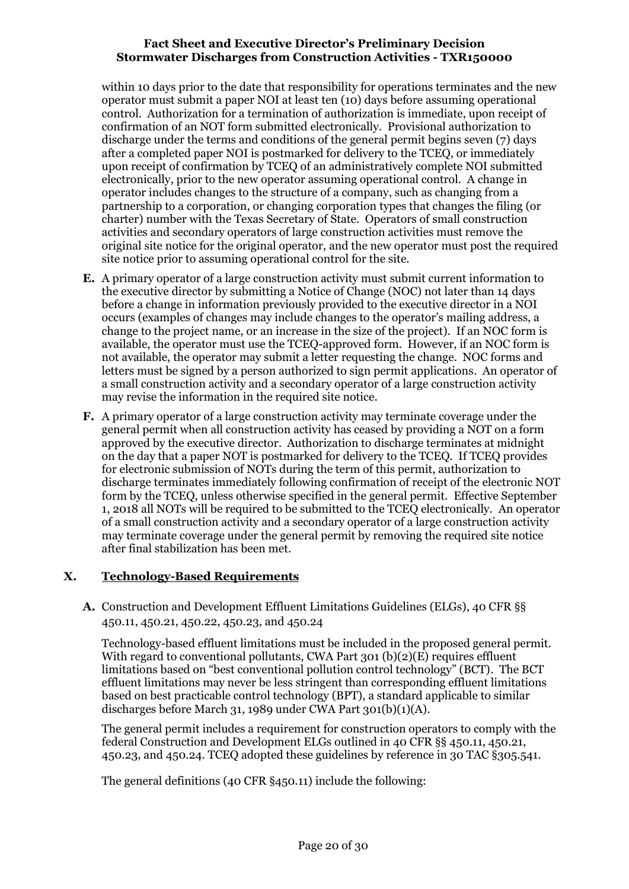within 10 days prior to the date that responsibility for operations terminates and the new operator must submit a paper NOI at least ten (10) days before assuming operational control. Authorization for a termination of authorization is immediate, upon receipt of confirmation of an NOT form submitted electronically. Provisional authorization to discharge under the terms and conditions of the general permit begins seven (7) days after a completed paper NOI is postmarked for delivery to the TCEQ, or immediately upon receipt of confirmation by TCEQ of an administratively complete NOI submitted electronically, prior to the new operator assuming operational control. A change in operator includes changes to the structure of a company, such as changing from a partnership to a corporation, or changing corporation types that changes the filing (or charter) number with the Texas Secretary of State. Operators of small construction activities and secondary operators of large construction activities must remove the original site notice for the original operator, and the new operator must post the required site notice prior to assuming operational control for the site.

- **E.** A primary operator of a large construction activity must submit current information to the executive director by submitting a Notice of Change (NOC) not later than 14 days before a change in information previously provided to the executive director in a NOI occurs (examples of changes may include changes to the operator's mailing address, a change to the project name, or an increase in the size of the project). If an NOC form is available, the operator must use the TCEQ-approved form. However, if an NOC form is not available, the operator may submit a letter requesting the change. NOC forms and letters must be signed by a person authorized to sign permit applications. An operator of a small construction activity and a secondary operator of a large construction activity may revise the information in the required site notice.
- **F.** A primary operator of a large construction activity may terminate coverage under the general permit when all construction activity has ceased by providing a NOT on a form approved by the executive director. Authorization to discharge terminates at midnight on the day that a paper NOT is postmarked for delivery to the TCEQ. If TCEQ provides for electronic submission of NOTs during the term of this permit, authorization to discharge terminates immediately following confirmation of receipt of the electronic NOT form by the TCEQ, unless otherwise specified in the general permit. Effective September 1, 2018 all NOTs will be required to be submitted to the TCEQ electronically. An operator of a small construction activity and a secondary operator of a large construction activity may terminate coverage under the general permit by removing the required site notice after final stabilization has been met.

## <span id="page-19-0"></span>**X. Technology-Based Requirements**

<span id="page-19-1"></span>**A.** Construction and Development Effluent Limitations Guidelines (ELGs), 40 CFR §§ 450.11, 450.21, 450.22, 450.23, and 450.24

Technology-based effluent limitations must be included in the proposed general permit. With regard to conventional pollutants, CWA Part 301 (b)(2)(E) requires effluent limitations based on "best conventional pollution control technology" (BCT). The BCT effluent limitations may never be less stringent than corresponding effluent limitations based on best practicable control technology (BPT), a standard applicable to similar discharges before March 31, 1989 under CWA Part 301(b)(1)(A).

The general permit includes a requirement for construction operators to comply with the federal Construction and Development ELGs outlined in 40 CFR §§ 450.11, 450.21, 450.23, and 450.24. TCEQ adopted these guidelines by reference in 30 TAC §305.541.

The general definitions (40 CFR §450.11) include the following: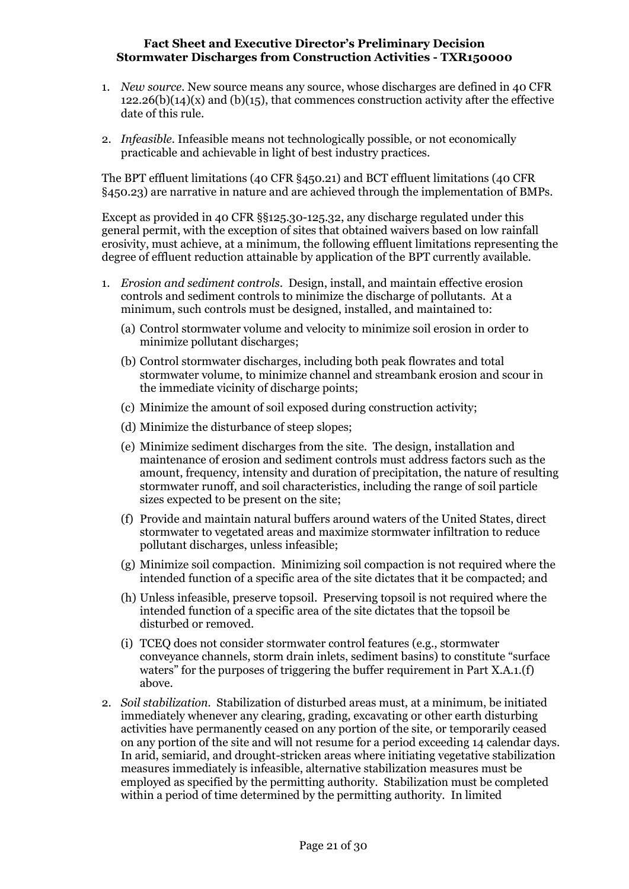- 1. *New source.* New source means any source, whose discharges are defined in 40 CFR  $122.26(b)(14)(x)$  and  $(b)(15)$ , that commences construction activity after the effective date of this rule.
- 2. *Infeasible.* Infeasible means not technologically possible, or not economically practicable and achievable in light of best industry practices.

The BPT effluent limitations (40 CFR §450.21) and BCT effluent limitations (40 CFR §450.23) are narrative in nature and are achieved through the implementation of BMPs.

Except as provided in 40 CFR §§125.30-125.32, any discharge regulated under this general permit, with the exception of sites that obtained waivers based on low rainfall erosivity, must achieve, at a minimum, the following effluent limitations representing the degree of effluent reduction attainable by application of the BPT currently available.

- 1. *Erosion and sediment controls*. Design, install, and maintain effective erosion controls and sediment controls to minimize the discharge of pollutants. At a minimum, such controls must be designed, installed, and maintained to:
	- (a) Control stormwater volume and velocity to minimize soil erosion in order to minimize pollutant discharges;
	- (b) Control stormwater discharges, including both peak flowrates and total stormwater volume, to minimize channel and streambank erosion and scour in the immediate vicinity of discharge points;
	- (c) Minimize the amount of soil exposed during construction activity;
	- (d) Minimize the disturbance of steep slopes;
	- (e) Minimize sediment discharges from the site. The design, installation and maintenance of erosion and sediment controls must address factors such as the amount, frequency, intensity and duration of precipitation, the nature of resulting stormwater runoff, and soil characteristics, including the range of soil particle sizes expected to be present on the site;
	- (f) Provide and maintain natural buffers around waters of the United States, direct stormwater to vegetated areas and maximize stormwater infiltration to reduce pollutant discharges, unless infeasible;
	- (g) Minimize soil compaction. Minimizing soil compaction is not required where the intended function of a specific area of the site dictates that it be compacted; and
	- (h) Unless infeasible, preserve topsoil. Preserving topsoil is not required where the intended function of a specific area of the site dictates that the topsoil be disturbed or removed.
	- (i) TCEQ does not consider stormwater control features (e.g., stormwater conveyance channels, storm drain inlets, sediment basins) to constitute "surface waters" for the purposes of triggering the buffer requirement in Part X.A.1.(f) above.
- 2. *Soil stabilization.* Stabilization of disturbed areas must, at a minimum, be initiated immediately whenever any clearing, grading, excavating or other earth disturbing activities have permanently ceased on any portion of the site, or temporarily ceased on any portion of the site and will not resume for a period exceeding 14 calendar days. In arid, semiarid, and drought-stricken areas where initiating vegetative stabilization measures immediately is infeasible, alternative stabilization measures must be employed as specified by the permitting authority. Stabilization must be completed within a period of time determined by the permitting authority. In limited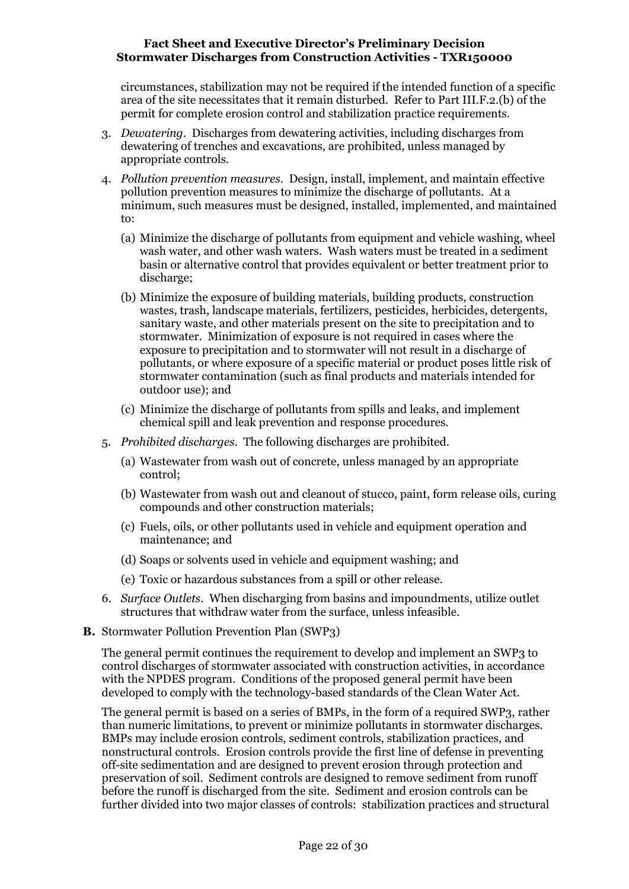circumstances, stabilization may not be required if the intended function of a specific area of the site necessitates that it remain disturbed. Refer to Part III.F.2.(b) of the permit for complete erosion control and stabilization practice requirements.

- 3. *Dewatering*. Discharges from dewatering activities, including discharges from dewatering of trenches and excavations, are prohibited, unless managed by appropriate controls.
- 4. *Pollution prevention measures.* Design, install, implement, and maintain effective pollution prevention measures to minimize the discharge of pollutants. At a minimum, such measures must be designed, installed, implemented, and maintained to:
	- (a) Minimize the discharge of pollutants from equipment and vehicle washing, wheel wash water, and other wash waters. Wash waters must be treated in a sediment basin or alternative control that provides equivalent or better treatment prior to discharge;
	- (b) Minimize the exposure of building materials, building products, construction wastes, trash, landscape materials, fertilizers, pesticides, herbicides, detergents, sanitary waste, and other materials present on the site to precipitation and to stormwater. Minimization of exposure is not required in cases where the exposure to precipitation and to stormwater will not result in a discharge of pollutants, or where exposure of a specific material or product poses little risk of stormwater contamination (such as final products and materials intended for outdoor use); and
	- (c) Minimize the discharge of pollutants from spills and leaks, and implement chemical spill and leak prevention and response procedures.
- 5. *Prohibited discharges*. The following discharges are prohibited.
	- (a) Wastewater from wash out of concrete, unless managed by an appropriate control;
	- (b) Wastewater from wash out and cleanout of stucco, paint, form release oils, curing compounds and other construction materials;
	- (c) Fuels, oils, or other pollutants used in vehicle and equipment operation and maintenance; and
	- (d) Soaps or solvents used in vehicle and equipment washing; and
	- (e) Toxic or hazardous substances from a spill or other release.
- 6. *Surface Outlets*. When discharging from basins and impoundments, utilize outlet structures that withdraw water from the surface, unless infeasible.
- <span id="page-21-0"></span>**B.** Stormwater Pollution Prevention Plan (SWP3)

The general permit continues the requirement to develop and implement an SWP3 to control discharges of stormwater associated with construction activities, in accordance with the NPDES program. Conditions of the proposed general permit have been developed to comply with the technology-based standards of the Clean Water Act.

The general permit is based on a series of BMPs, in the form of a required SWP3, rather than numeric limitations, to prevent or minimize pollutants in stormwater discharges. BMPs may include erosion controls, sediment controls, stabilization practices, and nonstructural controls. Erosion controls provide the first line of defense in preventing off-site sedimentation and are designed to prevent erosion through protection and preservation of soil. Sediment controls are designed to remove sediment from runoff before the runoff is discharged from the site. Sediment and erosion controls can be further divided into two major classes of controls: stabilization practices and structural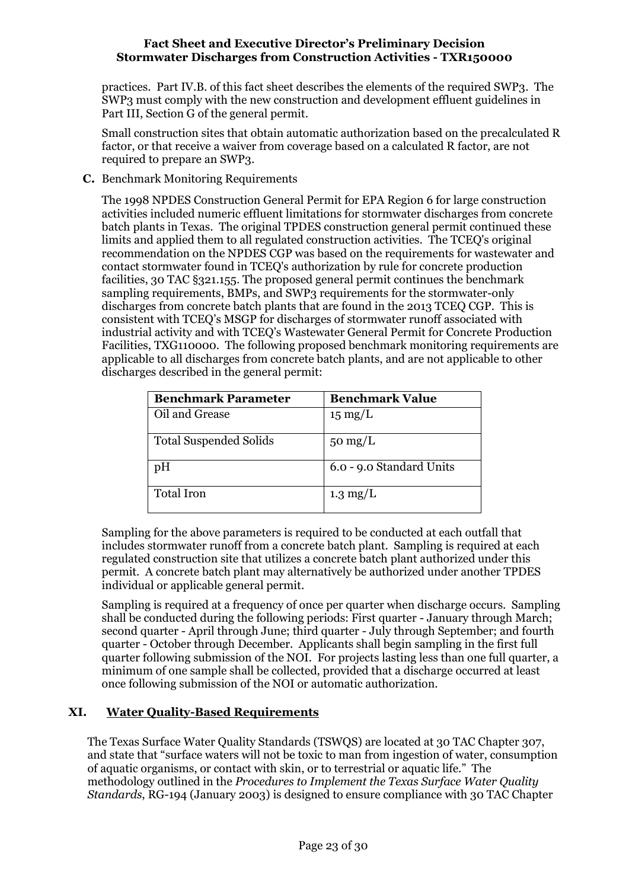practices. Part IV.B. of this fact sheet describes the elements of the required SWP3. The SWP3 must comply with the new construction and development effluent guidelines in Part III, Section G of the general permit.

Small construction sites that obtain automatic authorization based on the precalculated R factor, or that receive a waiver from coverage based on a calculated R factor, are not required to prepare an SWP3.

<span id="page-22-0"></span>**C.** Benchmark Monitoring Requirements

The 1998 NPDES Construction General Permit for EPA Region 6 for large construction activities included numeric effluent limitations for stormwater discharges from concrete batch plants in Texas. The original TPDES construction general permit continued these limits and applied them to all regulated construction activities. The TCEQ's original recommendation on the NPDES CGP was based on the requirements for wastewater and contact stormwater found in TCEQ's authorization by rule for concrete production facilities, 30 TAC §321.155. The proposed general permit continues the benchmark sampling requirements, BMPs, and SWP3 requirements for the stormwater-only discharges from concrete batch plants that are found in the 2013 TCEQ CGP. This is consistent with TCEQ's MSGP for discharges of stormwater runoff associated with industrial activity and with TCEQ's Wastewater General Permit for Concrete Production Facilities, TXG110000. The following proposed benchmark monitoring requirements are applicable to all discharges from concrete batch plants, and are not applicable to other discharges described in the general permit:

| <b>Benchmark Parameter</b>    | <b>Benchmark Value</b>   |  |  |  |  |  |  |  |
|-------------------------------|--------------------------|--|--|--|--|--|--|--|
| Oil and Grease                | $15 \text{ mg/L}$        |  |  |  |  |  |  |  |
| <b>Total Suspended Solids</b> | $50 \text{ mg/L}$        |  |  |  |  |  |  |  |
| pH                            | 6.0 - 9.0 Standard Units |  |  |  |  |  |  |  |
| <b>Total Iron</b>             | $1.3 \text{ mg/L}$       |  |  |  |  |  |  |  |

Sampling for the above parameters is required to be conducted at each outfall that includes stormwater runoff from a concrete batch plant. Sampling is required at each regulated construction site that utilizes a concrete batch plant authorized under this permit. A concrete batch plant may alternatively be authorized under another TPDES individual or applicable general permit.

Sampling is required at a frequency of once per quarter when discharge occurs. Sampling shall be conducted during the following periods: First quarter - January through March; second quarter - April through June; third quarter - July through September; and fourth quarter - October through December. Applicants shall begin sampling in the first full quarter following submission of the NOI. For projects lasting less than one full quarter, a minimum of one sample shall be collected, provided that a discharge occurred at least once following submission of the NOI or automatic authorization.

## <span id="page-22-1"></span>**XI. Water Quality-Based Requirements**

The Texas Surface Water Quality Standards (TSWQS) are located at 30 TAC Chapter 307, and state that "surface waters will not be toxic to man from ingestion of water, consumption of aquatic organisms, or contact with skin, or to terrestrial or aquatic life." The methodology outlined in the *Procedures to Implement the Texas Surface Water Quality Standards*, RG-194 (January 2003) is designed to ensure compliance with 30 TAC Chapter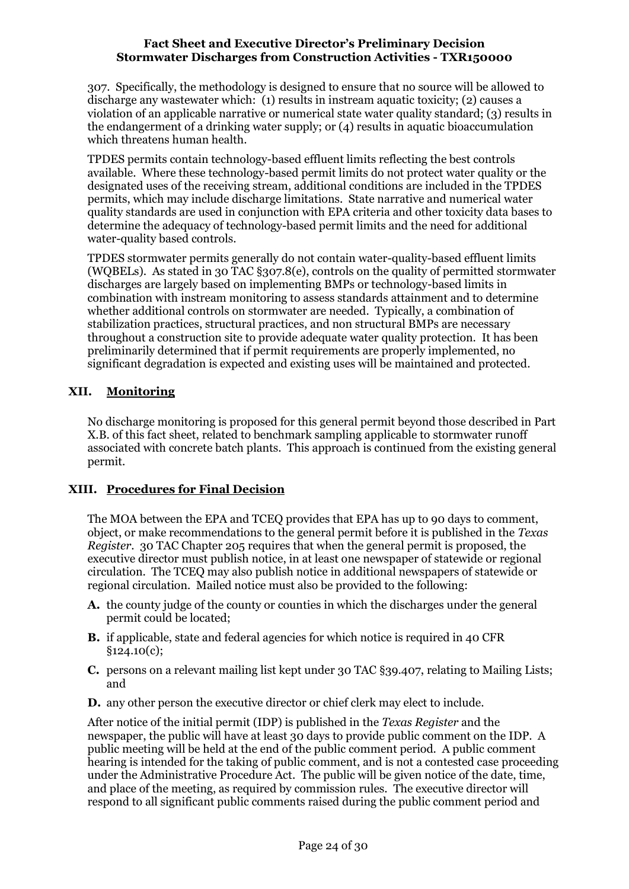307. Specifically, the methodology is designed to ensure that no source will be allowed to discharge any wastewater which: (1) results in instream aquatic toxicity; (2) causes a violation of an applicable narrative or numerical state water quality standard; (3) results in the endangerment of a drinking water supply; or (4) results in aquatic bioaccumulation which threatens human health.

TPDES permits contain technology-based effluent limits reflecting the best controls available. Where these technology-based permit limits do not protect water quality or the designated uses of the receiving stream, additional conditions are included in the TPDES permits, which may include discharge limitations. State narrative and numerical water quality standards are used in conjunction with EPA criteria and other toxicity data bases to determine the adequacy of technology-based permit limits and the need for additional water-quality based controls.

TPDES stormwater permits generally do not contain water-quality-based effluent limits (WQBELs). As stated in 30 TAC §307.8(e), controls on the quality of permitted stormwater discharges are largely based on implementing BMPs or technology-based limits in combination with instream monitoring to assess standards attainment and to determine whether additional controls on stormwater are needed. Typically, a combination of stabilization practices, structural practices, and non structural BMPs are necessary throughout a construction site to provide adequate water quality protection. It has been preliminarily determined that if permit requirements are properly implemented, no significant degradation is expected and existing uses will be maintained and protected.

## <span id="page-23-0"></span>**XII. Monitoring**

No discharge monitoring is proposed for this general permit beyond those described in Part X.B. of this fact sheet, related to benchmark sampling applicable to stormwater runoff associated with concrete batch plants. This approach is continued from the existing general permit.

## <span id="page-23-1"></span>**XIII. Procedures for Final Decision**

The MOA between the EPA and TCEQ provides that EPA has up to 90 days to comment, object, or make recommendations to the general permit before it is published in the *Texas Register*. 30 TAC Chapter 205 requires that when the general permit is proposed, the executive director must publish notice, in at least one newspaper of statewide or regional circulation. The TCEQ may also publish notice in additional newspapers of statewide or regional circulation. Mailed notice must also be provided to the following:

- **A.** the county judge of the county or counties in which the discharges under the general permit could be located;
- **B.** if applicable, state and federal agencies for which notice is required in 40 CFR §124.10(c);
- **C.** persons on a relevant mailing list kept under 30 TAC §39.407, relating to Mailing Lists; and
- **D.** any other person the executive director or chief clerk may elect to include.

After notice of the initial permit (IDP) is published in the *Texas Register* and the newspaper, the public will have at least 30 days to provide public comment on the IDP. A public meeting will be held at the end of the public comment period. A public comment hearing is intended for the taking of public comment, and is not a contested case proceeding under the Administrative Procedure Act. The public will be given notice of the date, time, and place of the meeting, as required by commission rules. The executive director will respond to all significant public comments raised during the public comment period and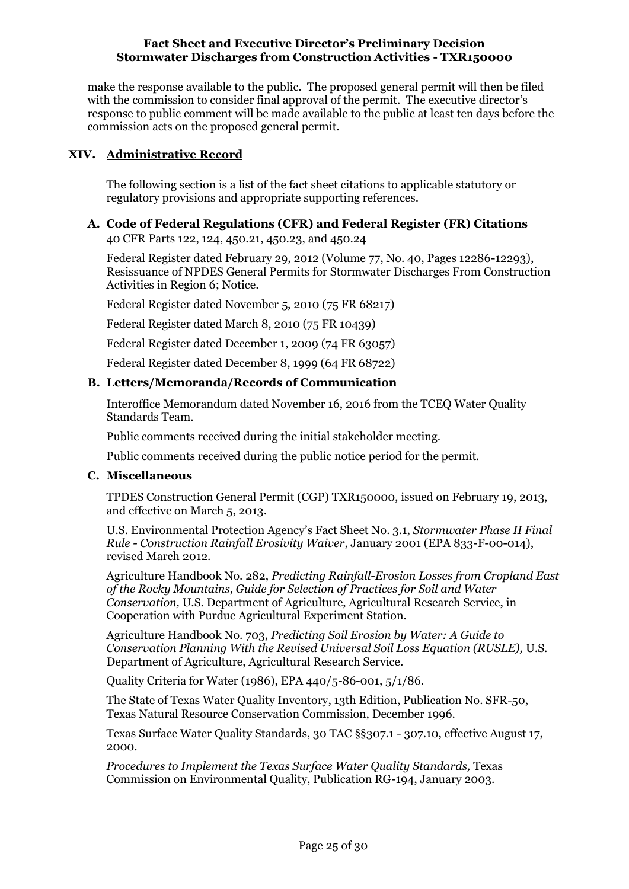make the response available to the public. The proposed general permit will then be filed with the commission to consider final approval of the permit. The executive director's response to public comment will be made available to the public at least ten days before the commission acts on the proposed general permit.

## <span id="page-24-0"></span>**XIV. Administrative Record**

The following section is a list of the fact sheet citations to applicable statutory or regulatory provisions and appropriate supporting references.

## **A. Code of Federal Regulations (CFR) and Federal Register (FR) Citations**

40 CFR Parts 122, 124, 450.21, 450.23, and 450.24

Federal Register dated February 29, 2012 (Volume 77, No. 40, Pages 12286-12293), Resissuance of NPDES General Permits for Stormwater Discharges From Construction Activities in Region 6; Notice.

Federal Register dated November 5, 2010 (75 FR 68217)

Federal Register dated March 8, 2010 (75 FR 10439)

Federal Register dated December 1, 2009 (74 FR 63057)

Federal Register dated December 8, 1999 (64 FR 68722)

### **B. Letters/Memoranda/Records of Communication**

Interoffice Memorandum dated November 16, 2016 from the TCEQ Water Quality Standards Team.

Public comments received during the initial stakeholder meeting.

Public comments received during the public notice period for the permit.

### **C. Miscellaneous**

TPDES Construction General Permit (CGP) TXR150000, issued on February 19, 2013, and effective on March 5, 2013.

U.S. Environmental Protection Agency's Fact Sheet No. 3.1, *Stormwater Phase II Final Rule - Construction Rainfall Erosivity Waiver*, January 2001 (EPA 833-F-00-014), revised March 2012.

Agriculture Handbook No. 282, *Predicting Rainfall-Erosion Losses from Cropland East of the Rocky Mountains, Guide for Selection of Practices for Soil and Water Conservation,* U.S. Department of Agriculture, Agricultural Research Service, in Cooperation with Purdue Agricultural Experiment Station.

Agriculture Handbook No. 703, *Predicting Soil Erosion by Water: A Guide to Conservation Planning With the Revised Universal Soil Loss Equation (RUSLE),* U.S. Department of Agriculture, Agricultural Research Service.

Quality Criteria for Water (1986), EPA 440/5-86-001, 5/1/86.

The State of Texas Water Quality Inventory, 13th Edition, Publication No. SFR-50, Texas Natural Resource Conservation Commission, December 1996.

Texas Surface Water Quality Standards, 30 TAC §§307.1 - 307.10, effective August 17, 2000.

*Procedures to Implement the Texas Surface Water Quality Standards,* Texas Commission on Environmental Quality, Publication RG-194, January 2003.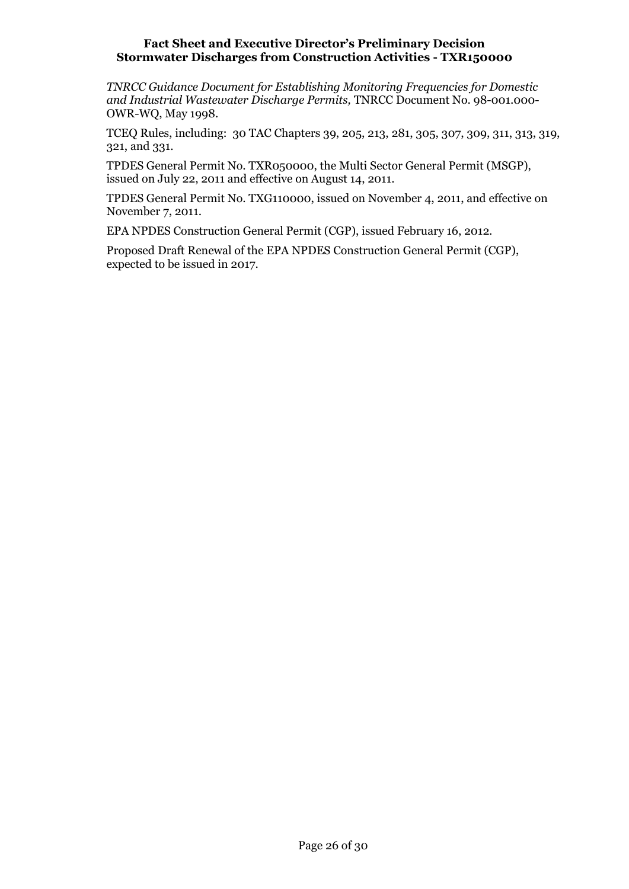*TNRCC Guidance Document for Establishing Monitoring Frequencies for Domestic and Industrial Wastewater Discharge Permits,* TNRCC Document No. 98-001.000- OWR-WQ, May 1998.

TCEQ Rules, including: 30 TAC Chapters 39, 205, 213, 281, 305, 307, 309, 311, 313, 319, 321, and 331.

TPDES General Permit No. TXR050000, the Multi Sector General Permit (MSGP), issued on July 22, 2011 and effective on August 14, 2011.

TPDES General Permit No. TXG110000, issued on November 4, 2011, and effective on November 7, 2011.

EPA NPDES Construction General Permit (CGP), issued February 16, 2012.

Proposed Draft Renewal of the EPA NPDES Construction General Permit (CGP), expected to be issued in 2017.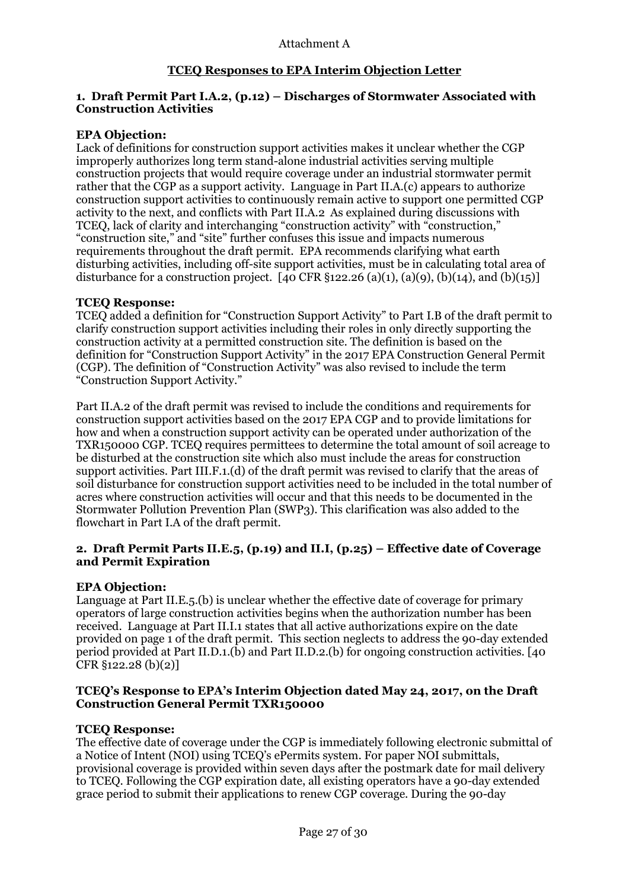## **TCEQ Responses to EPA Interim Objection Letter**

### **1. Draft Permit Part I.A.2, (p.12) – Discharges of Stormwater Associated with Construction Activities**

### **EPA Objection:**

Lack of definitions for construction support activities makes it unclear whether the CGP improperly authorizes long term stand-alone industrial activities serving multiple construction projects that would require coverage under an industrial stormwater permit rather that the CGP as a support activity. Language in Part II.A.(c) appears to authorize construction support activities to continuously remain active to support one permitted CGP activity to the next, and conflicts with Part II.A.2 As explained during discussions with TCEQ, lack of clarity and interchanging "construction activity" with "construction," "construction site," and "site" further confuses this issue and impacts numerous requirements throughout the draft permit. EPA recommends clarifying what earth disturbing activities, including off-site support activities, must be in calculating total area of disturbance for a construction project. [40 CFR  $\S$ 122.26 (a)(1), (a)(9), (b)(14), and (b)(15)]

### **TCEQ Response:**

TCEQ added a definition for "Construction Support Activity" to Part I.B of the draft permit to clarify construction support activities including their roles in only directly supporting the construction activity at a permitted construction site. The definition is based on the definition for "Construction Support Activity" in the 2017 EPA Construction General Permit (CGP). The definition of "Construction Activity" was also revised to include the term "Construction Support Activity."

Part II.A.2 of the draft permit was revised to include the conditions and requirements for construction support activities based on the 2017 EPA CGP and to provide limitations for how and when a construction support activity can be operated under authorization of the TXR150000 CGP. TCEQ requires permittees to determine the total amount of soil acreage to be disturbed at the construction site which also must include the areas for construction support activities. Part III.F.1.(d) of the draft permit was revised to clarify that the areas of soil disturbance for construction support activities need to be included in the total number of acres where construction activities will occur and that this needs to be documented in the Stormwater Pollution Prevention Plan (SWP3). This clarification was also added to the flowchart in Part I.A of the draft permit.

### **2. Draft Permit Parts II.E.5, (p.19) and II.I, (p.25) – Effective date of Coverage and Permit Expiration**

### **EPA Objection:**

Language at Part II.E.5.(b) is unclear whether the effective date of coverage for primary operators of large construction activities begins when the authorization number has been received. Language at Part II.I.1 states that all active authorizations expire on the date provided on page 1 of the draft permit. This section neglects to address the 90-day extended period provided at Part II.D.1.(b) and Part II.D.2.(b) for ongoing construction activities. [40  $CFR \S_{12}$  (b)(2)]

### **TCEQ's Response to EPA's Interim Objection dated May 24, 2017, on the Draft Construction General Permit TXR150000**

#### **TCEQ Response:**

The effective date of coverage under the CGP is immediately following electronic submittal of a Notice of Intent (NOI) using TCEQ's ePermits system. For paper NOI submittals, provisional coverage is provided within seven days after the postmark date for mail delivery to TCEQ. Following the CGP expiration date, all existing operators have a 90-day extended grace period to submit their applications to renew CGP coverage. During the 90-day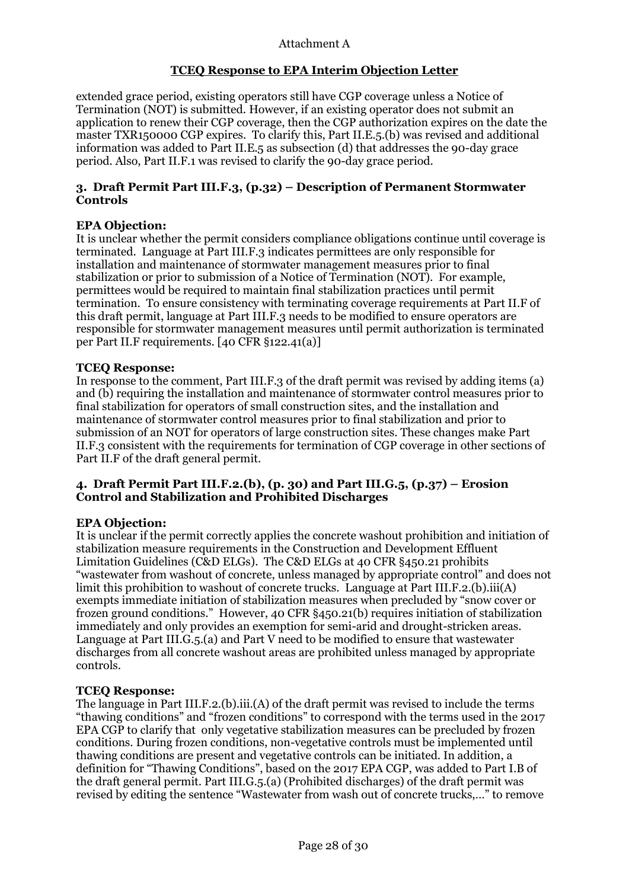## **TCEQ Response to EPA Interim Objection Letter**

extended grace period, existing operators still have CGP coverage unless a Notice of Termination (NOT) is submitted. However, if an existing operator does not submit an application to renew their CGP coverage, then the CGP authorization expires on the date the master TXR150000 CGP expires. To clarify this, Part II.E.5.(b) was revised and additional information was added to Part II.E.5 as subsection (d) that addresses the 90-day grace period. Also, Part II.F.1 was revised to clarify the 90-day grace period.

### **3. Draft Permit Part III.F.3, (p.32) – Description of Permanent Stormwater Controls**

### **EPA Objection:**

It is unclear whether the permit considers compliance obligations continue until coverage is terminated. Language at Part III.F.3 indicates permittees are only responsible for installation and maintenance of stormwater management measures prior to final stabilization or prior to submission of a Notice of Termination (NOT). For example, permittees would be required to maintain final stabilization practices until permit termination. To ensure consistency with terminating coverage requirements at Part II.F of this draft permit, language at Part III.F.3 needs to be modified to ensure operators are responsible for stormwater management measures until permit authorization is terminated per Part II.F requirements. [40 CFR §122.41(a)]

#### **TCEQ Response:**

In response to the comment, Part III.F.3 of the draft permit was revised by adding items (a) and (b) requiring the installation and maintenance of stormwater control measures prior to final stabilization for operators of small construction sites, and the installation and maintenance of stormwater control measures prior to final stabilization and prior to submission of an NOT for operators of large construction sites. These changes make Part II.F.3 consistent with the requirements for termination of CGP coverage in other sections of Part II.F of the draft general permit.

### **4. Draft Permit Part III.F.2.(b), (p. 30) and Part III.G.5, (p.37) – Erosion Control and Stabilization and Prohibited Discharges**

#### **EPA Objection:**

It is unclear if the permit correctly applies the concrete washout prohibition and initiation of stabilization measure requirements in the Construction and Development Effluent Limitation Guidelines (C&D ELGs). The C&D ELGs at 40 CFR §450.21 prohibits "wastewater from washout of concrete, unless managed by appropriate control" and does not limit this prohibition to washout of concrete trucks. Language at Part III.F.2.(b).iii(A) exempts immediate initiation of stabilization measures when precluded by "snow cover or frozen ground conditions." However, 40 CFR §450.21(b) requires initiation of stabilization immediately and only provides an exemption for semi-arid and drought-stricken areas. Language at Part III.G.5.(a) and Part V need to be modified to ensure that wastewater discharges from all concrete washout areas are prohibited unless managed by appropriate controls.

#### **TCEQ Response:**

The language in Part III.F.2.(b).iii.(A) of the draft permit was revised to include the terms "thawing conditions" and "frozen conditions" to correspond with the terms used in the 2017 EPA CGP to clarify that only vegetative stabilization measures can be precluded by frozen conditions. During frozen conditions, non-vegetative controls must be implemented until thawing conditions are present and vegetative controls can be initiated. In addition, a definition for "Thawing Conditions", based on the 2017 EPA CGP, was added to Part I.B of the draft general permit. Part III.G.5.(a) (Prohibited discharges) of the draft permit was revised by editing the sentence "Wastewater from wash out of concrete trucks,…" to remove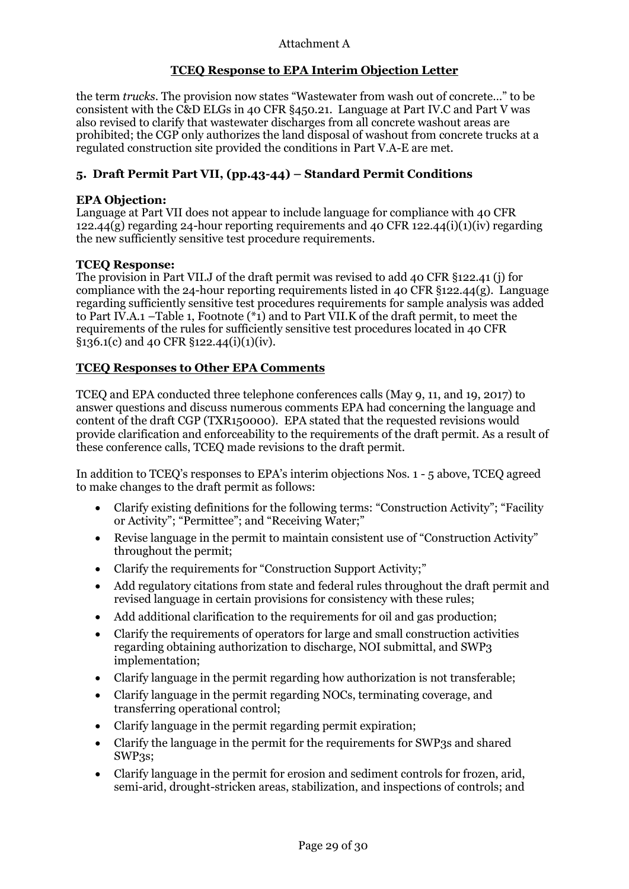## **TCEQ Response to EPA Interim Objection Letter**

the term *trucks*. The provision now states "Wastewater from wash out of concrete…" to be consistent with the C&D ELGs in 40 CFR §450.21. Language at Part IV.C and Part V was also revised to clarify that wastewater discharges from all concrete washout areas are prohibited; the CGP only authorizes the land disposal of washout from concrete trucks at a regulated construction site provided the conditions in Part V.A-E are met.

## **5. Draft Permit Part VII, (pp.43-44) – Standard Permit Conditions**

### **EPA Objection:**

Language at Part VII does not appear to include language for compliance with 40 CFR 122.44(g) regarding 24-hour reporting requirements and 40 CFR 122.44(i)(1)(iv) regarding the new sufficiently sensitive test procedure requirements.

### **TCEQ Response:**

The provision in Part VII.J of the draft permit was revised to add 40 CFR §122.41 (j) for compliance with the 24-hour reporting requirements listed in 40 CFR  $\S$ 122.44(g). Language regarding sufficiently sensitive test procedures requirements for sample analysis was added to Part IV.A.1 –Table 1, Footnote  $(*_1)$  and to Part VII.K of the draft permit, to meet the requirements of the rules for sufficiently sensitive test procedures located in 40 CFR  $\S$ 136.1(c) and 40 CFR  $\S$ 122.44(i)(1)(iv).

### **TCEQ Responses to Other EPA Comments**

TCEQ and EPA conducted three telephone conferences calls (May 9, 11, and 19, 2017) to answer questions and discuss numerous comments EPA had concerning the language and content of the draft CGP (TXR150000). EPA stated that the requested revisions would provide clarification and enforceability to the requirements of the draft permit. As a result of these conference calls, TCEQ made revisions to the draft permit.

In addition to TCEQ's responses to EPA's interim objections Nos. 1 - 5 above, TCEQ agreed to make changes to the draft permit as follows:

- Clarify existing definitions for the following terms: "Construction Activity"; "Facility" or Activity"; "Permittee"; and "Receiving Water;"
- Revise language in the permit to maintain consistent use of "Construction Activity" throughout the permit;
- Clarify the requirements for "Construction Support Activity;"
- Add regulatory citations from state and federal rules throughout the draft permit and revised language in certain provisions for consistency with these rules;
- Add additional clarification to the requirements for oil and gas production;
- Clarify the requirements of operators for large and small construction activities regarding obtaining authorization to discharge, NOI submittal, and SWP3 implementation;
- Clarify language in the permit regarding how authorization is not transferable;
- Clarify language in the permit regarding NOCs, terminating coverage, and transferring operational control;
- Clarify language in the permit regarding permit expiration;
- Clarify the language in the permit for the requirements for SWP3s and shared SWP<sub>3</sub>s;
- Clarify language in the permit for erosion and sediment controls for frozen, arid, semi-arid, drought-stricken areas, stabilization, and inspections of controls; and